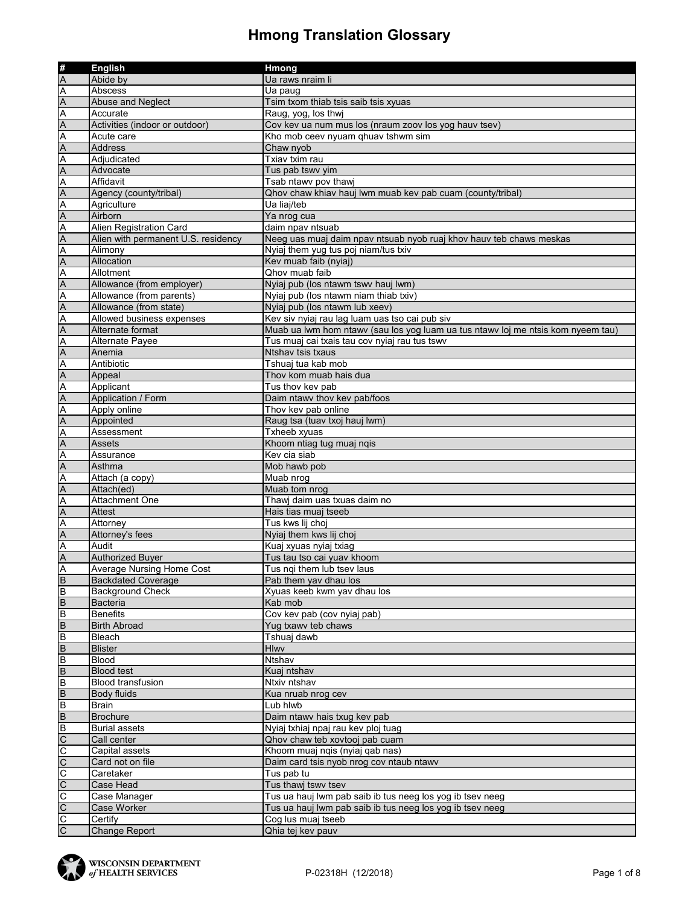|                         | <b>English</b>                      | <b>Hmong</b>                                                                     |
|-------------------------|-------------------------------------|----------------------------------------------------------------------------------|
|                         | Abide by                            | Ua raws nraim li                                                                 |
| ∰<br>A<br>A             | Abscess                             | Ua paug                                                                          |
|                         | Abuse and Neglect                   | Tsim txom thiab tsis saib tsis xyuas                                             |
|                         | Accurate                            | Raug, yog, los thwi                                                              |
| A<br>A<br>A             | Activities (indoor or outdoor)      | Cov kev ua num mus los (nraum zoov los yog hauv tsev)                            |
|                         | Acute care                          | Kho mob ceev nyuam qhuav tshwm sim                                               |
| $\leq$                  | Address                             | Chaw nyob                                                                        |
| $\overline{\mathsf{A}}$ | Adjudicated                         | Txiav txim rau                                                                   |
|                         | Advocate                            | Tus pab tswy yim                                                                 |
| A<br>A<br>A             | Affidavit                           | Tsab ntawv pov thawj                                                             |
|                         | Agency (county/tribal)              | Qhov chaw khiav hauj lwm muab kev pab cuam (county/tribal)                       |
|                         | Agriculture                         | Ua liaj/teb                                                                      |
| $\frac{A}{A}$           | Airborn                             | Ya nrog cua                                                                      |
| A                       | Alien Registration Card             | daim npav ntsuab                                                                 |
| $\overline{A}$          | Alien with permanent U.S. residency | Neeg uas muaj daim npav ntsuab nyob ruaj khov hauv teb chaws meskas              |
| Ā                       | Alimony                             | Nyiaj them yug tus poj niam/tus txiv                                             |
| $\overline{A}$          | Allocation                          | Kev muab faib (nyiaj)                                                            |
|                         | Allotment                           | Qhov muab faib                                                                   |
| $\frac{A}{A}$           | Allowance (from employer)           | Nyiaj pub (los ntawm tswv hauj lwm)                                              |
| $\overline{\mathsf{A}}$ | Allowance (from parents)            | Nyiaj pub (los ntawm niam thiab txiv)                                            |
|                         | Allowance (from state)              | Nyiaj pub (los ntawm lub xeev)                                                   |
| $\frac{A}{A}$           | Allowed business expenses           | Kev siv nyiaj rau lag luam uas tso cai pub siv                                   |
| $\overline{A}$          | Alternate format                    | Muab ua lwm hom ntawy (sau los yog luam ua tus ntawy loj me ntsis kom nyeem tau) |
|                         | Alternate Payee                     | Tus muaj cai txais tau cov nyiaj rau tus tswv                                    |
|                         | Anemia                              | Ntshav tsis txaus                                                                |
|                         | Antibiotic                          | Tshuai tua kab mob                                                               |
| A<br>A<br>A<br>A<br>A   | Appeal                              | Thov kom muab hais dua                                                           |
| A                       | Applicant                           | Tus thov kev pab                                                                 |
| $\overline{A}$          | Application / Form                  | Daim ntawv thov kev pab/foos                                                     |
| A                       | Apply online                        | Thov kev pab online                                                              |
|                         | Appointed                           | Raug tsa (tuav txoj hauj lwm)                                                    |
|                         | Assessment                          | Txheeb xyuas                                                                     |
| $\frac{A}{A}$           | Assets                              | Khoom ntiag tug muaj nqis                                                        |
|                         | Assurance                           | Kev cia siab                                                                     |
| $\frac{A}{A}$           | Asthma                              | Mob hawb pob                                                                     |
| $\overline{\mathsf{A}}$ | Attach (a copy)                     | Muab nrog                                                                        |
| $\overline{A}$          | Attach(ed)                          | Muab tom nrog                                                                    |
|                         | <b>Attachment One</b>               | Thawj daim uas txuas daim no                                                     |
| $\frac{A}{A}$           | <b>Attest</b>                       | Hais tias muaj tseeb                                                             |
| $\overline{A}$          | Attorney                            | Tus kws lij choj                                                                 |
| $\overline{A}$          | Attorney's fees                     | Nyiaj them kws lij choj                                                          |
| A                       | Audit                               | Kuaj xyuas nyiaj txiag                                                           |
| $\overline{A}$          | Authorized Buyer                    | Tus tau tso cai yuav khoom                                                       |
| A                       | Average Nursing Home Cost           | Tus ngi them lub tsev laus                                                       |
| $\overline{B}$          | <b>Backdated Coverage</b>           | Pab them yav dhau los                                                            |
| B                       | <b>Background Check</b>             | Xyuas keeb kwm yav dhau los                                                      |
| $\overline{B}$          | Bacteria                            | Kab mob                                                                          |
| $\overline{B}$          | <b>Benefits</b>                     | Cov kev pab (cov nyiaj pab)                                                      |
| $\overline{B}$          | <b>Birth Abroad</b>                 | Yug txawy teb chaws                                                              |
| $\overline{B}$          | Bleach                              | Tshuaj dawb                                                                      |
| $\overline{B}$          | <b>Blister</b>                      | <b>Hlwy</b>                                                                      |
| $\overline{B}$          | <b>Blood</b>                        | Ntshav                                                                           |
| $\overline{B}$          | <b>Blood test</b>                   | Kuaj ntshav                                                                      |
| $\overline{B}$          | <b>Blood transfusion</b>            | Ntxiv ntshav                                                                     |
| $\overline{B}$          | <b>Body fluids</b>                  | Kua nruab nrog cev                                                               |
| $\overline{B}$          | <b>Brain</b>                        | Lub hlwb                                                                         |
| $\overline{B}$          | <b>Brochure</b>                     | Daim ntawv hais txug kev pab                                                     |
| $\overline{B}$          | <b>Burial assets</b>                | Nyiaj txhiaj npaj rau kev ploj tuag                                              |
| $\overline{C}$          | Call center                         | Qhov chaw teb xovtooj pab cuam                                                   |
|                         | Capital assets                      | Khoom muaj nqis (nyiaj qab nas)                                                  |
|                         | Card not on file                    | Daim card tsis nyob nrog cov ntaub ntawv                                         |
| <u>ululu ululu</u>      | Caretaker                           | Tus pab tu                                                                       |
|                         | Case Head                           | Tus thawj tswy tsev                                                              |
|                         | Case Manager                        | Tus ua hauj lwm pab saib ib tus neeg los yog ib tsev neeg                        |
|                         | Case Worker                         | Tus ua hauj lwm pab saib ib tus neeg los yog ib tsev neeg                        |
| $\frac{1}{2}$           | Certify                             | Cog lus muaj tseeb                                                               |
|                         | Change Report                       | Qhia tej kev pauv                                                                |

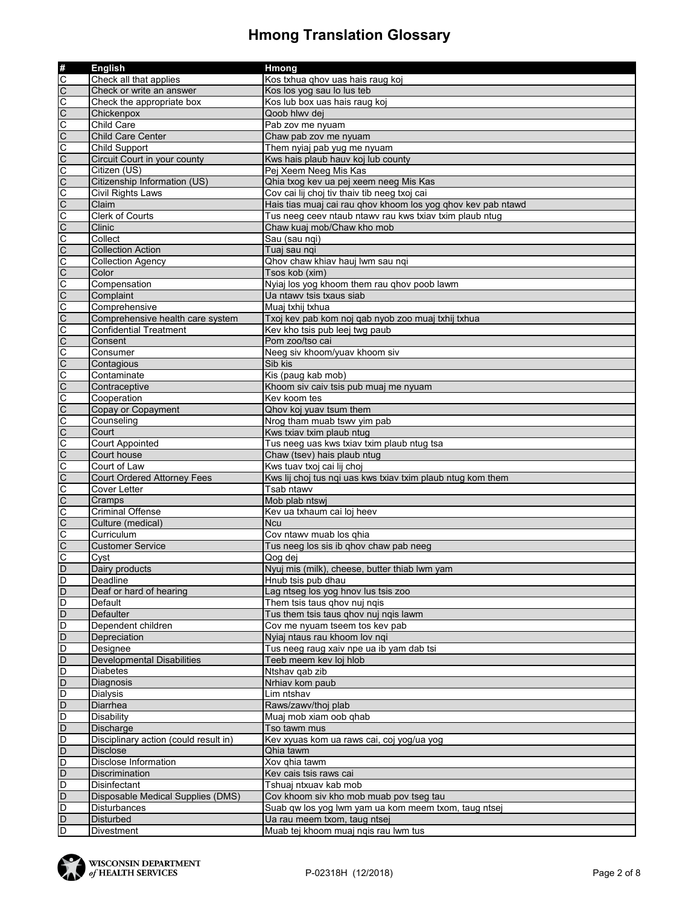| #<br>C              | <b>English</b>                        | Hmong                                                                                |
|---------------------|---------------------------------------|--------------------------------------------------------------------------------------|
|                     | Check all that applies                | Kos txhua qhov uas hais raug koj                                                     |
| $\frac{1}{2}$       | Check or write an answer              | Kos los yog sau lo lus teb                                                           |
|                     | Check the appropriate box             | Kos lub box uas hais raug koj                                                        |
| C                   | Chickenpox                            | Qoob hlwv dej                                                                        |
|                     | Child Care                            | Pab zov me nyuam                                                                     |
| $\frac{1}{2}$       | Child Care Center                     | Chaw pab zov me nyuam                                                                |
| C                   | <b>Child Support</b>                  | Them nyiaj pab yug me nyuam                                                          |
| C                   | Circuit Court in your county          | Kws hais plaub hauv koj lub county                                                   |
| C                   | Citizen (US)                          | Pej Xeem Neeg Mis Kas                                                                |
| C                   | Citizenship Information (US)          | Qhia txog kev ua pej xeem neeg Mis Kas                                               |
|                     | <b>Civil Rights Laws</b>              | Cov cai lij choj tiv thaiv tib neeg txoj cai                                         |
|                     | Claim                                 | Hais tias muaj cai rau qhov khoom los yog qhov kev pab ntawd                         |
| $\circ$ $\circ$     | Clerk of Courts                       | Tus neeg ceev ntaub ntawv rau kws txiav txim plaub ntug                              |
| $\overline{C}$      | Clinic                                | Chaw kuaj mob/Chaw kho mob                                                           |
| O                   | Collect                               | Sau (sau nqi)                                                                        |
| C                   | <b>Collection Action</b>              | Tuaj sau nqi                                                                         |
|                     | <b>Collection Agency</b>              | Qhov chaw khiav hauj lwm sau nqi                                                     |
| 0                   | Color                                 | Tsos kob (xim)                                                                       |
| C                   | Compensation                          | Nyiaj los yog khoom them rau qhov poob lawm                                          |
|                     | Complaint                             | Ua ntawy tsis txaus siab                                                             |
| $rac{C}{C}$         | Comprehensive                         | Muaj txhij txhua                                                                     |
| C                   | Comprehensive health care system      | Txoj kev pab kom noj qab nyob zoo muaj txhij txhua                                   |
|                     | Confidential Treatment                | Kev kho tsis pub leej twg paub                                                       |
| olololololo         | Consent                               | Pom zoo/tso cai                                                                      |
|                     | Consumer                              | Neeg siv khoom/yuav khoom siv                                                        |
|                     | Contagious                            | Sib kis                                                                              |
|                     | Contaminate                           | Kis (paug kab mob)                                                                   |
|                     | Contraceptive                         | Khoom siv caiv tsis pub muaj me nyuam                                                |
|                     | Cooperation                           | Kev koom tes                                                                         |
|                     | Copay or Copayment                    | Qhov koj yuav tsum them                                                              |
| olo                 | Counseling                            | Nrog tham muab tswv yim pab                                                          |
| $\overline{C}$      | Court                                 | Kws txiav txim plaub ntug                                                            |
|                     | <b>Court Appointed</b>                | Tus neeg uas kws txiav txim plaub ntug tsa                                           |
|                     | Court house                           | Chaw (tsev) hais plaub ntug                                                          |
| $\frac{1}{2}$       | Court of Law                          | Kws tuav txoj cai lij choj                                                           |
| C                   | <b>Court Ordered Attorney Fees</b>    | Kws lij choj tus nqi uas kws txiav txim plaub ntug kom them                          |
| o                   | Cover Letter                          | Tsab ntawv                                                                           |
|                     | Cramps                                | Mob plab ntswj                                                                       |
|                     | <b>Criminal Offense</b>               | Kev ua txhaum cai loj heev                                                           |
| O O                 | Culture (medical)                     | <b>Ncu</b>                                                                           |
| C                   | Curriculum                            | Cov ntawv muab los qhia                                                              |
| $\overline{C}$      | <b>Customer Service</b>               | Tus neeg los sis ib qhov chaw pab neeg                                               |
| C                   | Cyst                                  | Qog dej                                                                              |
| $\overline{D}$      | Dairy products                        | Nyuj mis (milk), cheese, butter thiab lwm yam                                        |
| D                   | Deadline                              | Hnub tsis pub dhau                                                                   |
| D                   | Deaf or hard of hearing               | Lag ntseg los yog hnov lus tsis zoo                                                  |
| D                   | Default                               | Them tsis taus qhov nuj nqis                                                         |
| D                   | Defaulter                             | Tus them tsis taus ghov nuj ngis lawm                                                |
| D                   | Dependent children                    | Cov me nyuam tseem tos kev pab                                                       |
| $\overline{D}$      | Depreciation                          | Nyiaj ntaus rau khoom lov ngi                                                        |
| D                   | Designee                              | Tus neeg raug xaiv npe ua ib yam dab tsi                                             |
| $\overline{D}$      | <b>Developmental Disabilities</b>     | Teeb meem kev loj hlob                                                               |
| D                   | <b>Diabetes</b>                       | Ntshav qab zib                                                                       |
| D                   | Diagnosis                             | Nrhiav kom paub                                                                      |
| D                   | Dialysis                              | Lim ntshav                                                                           |
| $\overline{D}$      | Diarrhea                              | Raws/zawv/thoj plab                                                                  |
| D                   | <b>Disability</b>                     | Muaj mob xiam oob qhab                                                               |
| $\overline{D}$      | Discharge                             | Tso tawm mus                                                                         |
| D                   | Disciplinary action (could result in) | Kev xyuas kom ua raws cai, coj yog/ua yog                                            |
| D                   | <b>Disclose</b>                       | Qhia tawm                                                                            |
| D                   | Disclose Information                  | Xov qhia tawm                                                                        |
| $\overline{D}$      | Discrimination                        | Kev cais tsis raws cai                                                               |
| D                   | Disinfectant                          | Tshuaj ntxuav kab mob                                                                |
| $\overline{D}$      | Disposable Medical Supplies (DMS)     | Cov khoom siv kho mob muab pov tseg tau                                              |
| D<br>$\overline{D}$ | Disturbances<br><b>Disturbed</b>      | Suab qw los yog lwm yam ua kom meem txom, taug ntsej<br>Ua rau meem txom, taug ntsej |
| D                   |                                       | Muab tej khoom muaj ngis rau lwm tus                                                 |
|                     | Divestment                            |                                                                                      |

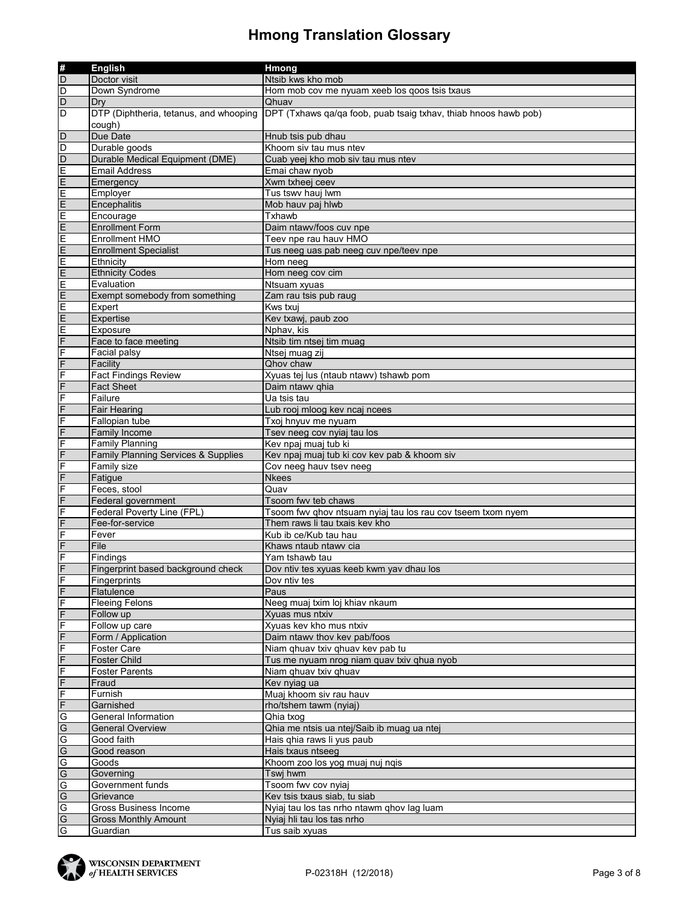|                   | <b>English</b>                         | Hmong                                                           |
|-------------------|----------------------------------------|-----------------------------------------------------------------|
|                   | Doctor visit                           | Ntsib kws kho mob                                               |
|                   | Down Syndrome                          | Hom mob cov me nyuam xeeb los qoos tsis txaus                   |
|                   | Dry                                    | Qhuav                                                           |
|                   | DTP (Diphtheria, tetanus, and whooping | DPT (Txhaws qa/qa foob, puab tsaig txhav, thiab hnoos hawb pob) |
|                   | cough)                                 |                                                                 |
|                   | Due Date                               | Hnub tsis pub dhau                                              |
|                   | Durable goods                          | Khoom siv tau mus ntev                                          |
|                   | Durable Medical Equipment (DME)        | Cuab yeej kho mob siv tau mus ntev                              |
|                   | <b>Email Address</b>                   | Emai chaw nyob                                                  |
| mmmmmmmmmoo       |                                        | Xwm txheej ceev                                                 |
|                   | Emergency<br>Employer                  | Tus tswy hauj lwm                                               |
|                   |                                        | Mob hauv paj hlwb                                               |
|                   | Encephalitis                           | Txhawb                                                          |
|                   | Encourage                              | Daim ntawv/foos cuv npe                                         |
|                   | <b>Enrollment Form</b>                 |                                                                 |
|                   | <b>Enrollment HMO</b>                  | Teev npe rau hauv HMO                                           |
|                   | <b>Enrollment Specialist</b>           | Tus neeg uas pab neeg cuv npe/teev npe                          |
| ululu             | Ethnicity                              | Hom neeg                                                        |
|                   | <b>Ethnicity Codes</b>                 | Hom neeg cov cim                                                |
|                   | Evaluation                             | Ntsuam xyuas                                                    |
| m m m             | Exempt somebody from something         | Zam rau tsis pub raug                                           |
|                   | Expert                                 | Kws txui                                                        |
|                   | Expertise                              | Kev txawj, paub zoo                                             |
| 니스프트              | Exposure                               | Nphav, kis                                                      |
|                   | Face to face meeting                   | Ntsib tim ntsej tim muag                                        |
|                   | Facial palsy                           | Ntsej muag zij                                                  |
|                   | Facility                               | Qhov chaw                                                       |
|                   | <b>Fact Findings Review</b>            | Xyuas tej lus (ntaub ntawv) tshawb pom                          |
|                   | <b>Fact Sheet</b>                      | Daim ntawy ghia                                                 |
|                   | Failure                                | Ua tsis tau                                                     |
| $rac{F}{F}$       | <b>Fair Hearing</b>                    | Lub rooj mloog kev ncaj ncees                                   |
| F                 | Fallopian tube                         | Txoj hnyuv me nyuam                                             |
| F                 | <b>Family Income</b>                   | Tsev neeg cov nyiaj tau los                                     |
| F                 | <b>Family Planning</b>                 | Kev npaj muaj tub ki                                            |
| F                 | Family Planning Services & Supplies    | Kev npaj muaj tub ki cov kev pab & khoom siv                    |
| F                 | Family size                            | Cov neeg hauv tsev neeg                                         |
|                   | Fatigue                                | <b>Nkees</b>                                                    |
| $\frac{F}{F}$     | Feces, stool                           | Quav                                                            |
| F                 | Federal government                     | Tsoom fwv teb chaws                                             |
| F                 | Federal Poverty Line (FPL)             | Tsoom fwv qhov ntsuam nyiaj tau los rau cov tseem txom nyem     |
| $\overline{F}$    | Fee-for-service                        | Them raws li tau txais key kho                                  |
| F                 | Fever                                  | Kub ib ce/Kub tau hau                                           |
| $\overline{F}$    | File                                   | Khaws ntaub ntawy cia                                           |
| F                 | Findings                               | Yam tshawb tau                                                  |
| F                 | Fingerprint based background check     | Dov ntiv tes xyuas keeb kwm yay dhau los                        |
|                   | Fingerprints                           | Dov ntiv tes                                                    |
| $rac{F}{F}$       | Flatulence                             | Paus                                                            |
| F                 | <b>Fleeing Felons</b>                  | Neeg muaj txim loj khiav nkaum                                  |
| F                 | Follow up                              | Xyuas mus ntxiv                                                 |
|                   | Follow up care                         | Xyuas kev kho mus ntxiv                                         |
| 니그나니              | Form / Application                     | Daim ntawv thov kev pab/foos                                    |
|                   | Foster Care                            | Niam ghuav txiv ghuav kev pab tu                                |
|                   | Foster Child                           |                                                                 |
|                   |                                        | Tus me nyuam nrog niam quav txiv qhua nyob                      |
|                   | <b>Foster Parents</b>                  | Niam qhuav txiv qhuav                                           |
|                   | Fraud                                  | Kev nyiag ua                                                    |
| م ماه ماه اسال ال | Furnish                                | Muaj khoom siv rau hauv                                         |
|                   | Garnished                              | rho/tshem tawm (nyiaj)                                          |
|                   | General Information                    | Qhia txoq                                                       |
|                   | <b>General Overview</b>                | Qhia me ntsis ua ntej/Saib ib muag ua ntej                      |
|                   | Good faith                             | Hais qhia raws li yus paub                                      |
|                   | Good reason                            | Hais txaus ntseeg                                               |
|                   | Goods                                  | Khoom zoo los yog muaj nuj nqis                                 |
|                   | Governing                              | Tswj hwm                                                        |
| $\frac{1}{2}$     | Government funds                       | Tsoom fwv cov nyiaj                                             |
|                   | Grievance                              | Kev tsis txaus siab, tu siab                                    |
|                   | Gross Business Income                  | Nyiaj tau los tas nrho ntawm qhov lag luam                      |
|                   | <b>Gross Monthly Amount</b>            | Nyiaj hli tau los tas nrho                                      |
|                   | Guardian                               | Tus saib xyuas                                                  |

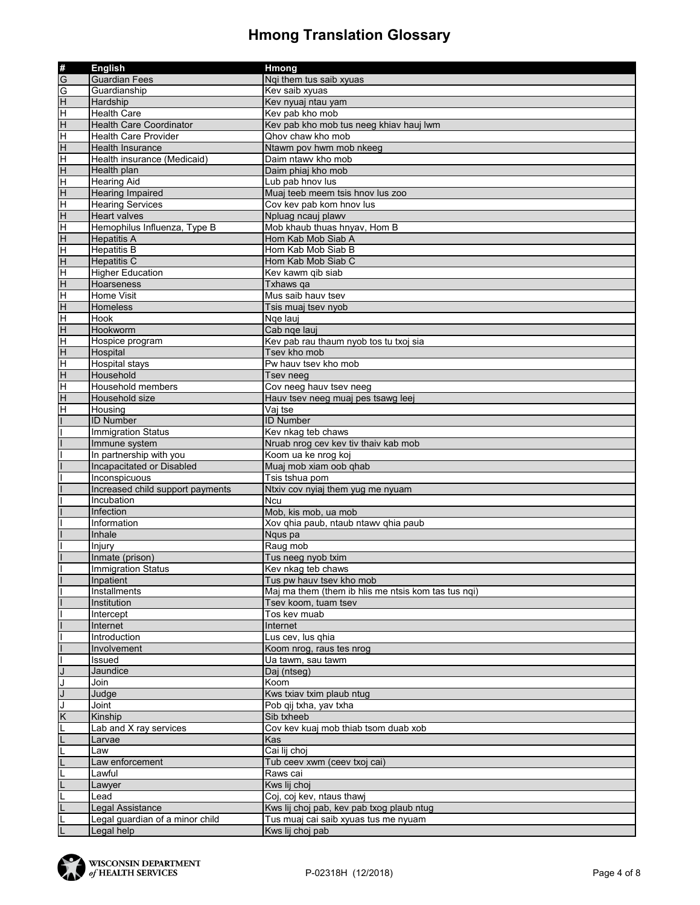|                | <b>English</b>                   | Hmong                                               |
|----------------|----------------------------------|-----------------------------------------------------|
| #<br>G         | <b>Guardian Fees</b>             | Nqi them tus saib xyuas                             |
| G              | Guardianship                     | Kev saib xyuas                                      |
| $\overline{H}$ | Hardship                         | Kev nyuaj ntau yam                                  |
| $\overline{H}$ | <b>Health Care</b>               | Kev pab kho mob                                     |
| H              | <b>Health Care Coordinator</b>   | Kev pab kho mob tus neeg khiav hauj lwm             |
| Έ              | <b>Health Care Provider</b>      | Qhov chaw kho mob                                   |
| H              | <b>Health Insurance</b>          | Ntawm pov hwm mob nkeeg                             |
| $\overline{H}$ | Health insurance (Medicaid)      | Daim ntawy kho mob                                  |
| $\overline{H}$ | Health plan                      | Daim phiaj kho mob                                  |
| H              | <b>Hearing Aid</b>               | Lub pab hnov lus                                    |
| H              | <b>Hearing Impaired</b>          | Muaj teeb meem tsis hnov lus zoo                    |
| H              | <b>Hearing Services</b>          | Cov kev pab kom hnov lus                            |
| $\overline{H}$ | <b>Heart valves</b>              | Npluag ncauj plawv                                  |
| H              | Hemophilus Influenza, Type B     | Mob khaub thuas hnyav, Hom B                        |
| $\overline{H}$ | <b>Hepatitis A</b>               | Hom Kab Mob Siab A                                  |
| Ε              | <b>Hepatitis B</b>               | Hom Kab Mob Siab B                                  |
| H              | <b>Hepatitis C</b>               | Hom Kab Mob Siab C                                  |
| H              | <b>Higher Education</b>          | Kev kawm gib siab                                   |
| $\overline{H}$ | <b>Hoarseness</b>                | Txhaws ga                                           |
| H              | <b>Home Visit</b>                | Mus saib hauv tsev                                  |
| $\overline{H}$ | <b>Homeless</b>                  | Tsis muaj tsev nyob                                 |
| Ε              | <b>Hook</b>                      | Nge lauj                                            |
| H              | Hookworm                         | Cab nge lauj                                        |
| H              | Hospice program                  | Kev pab rau thaum nyob tos tu txoj sia              |
| $\overline{H}$ | Hospital                         | Tsev kho mob                                        |
| H              | <b>Hospital stays</b>            | Pw hauv tsey kho mob                                |
| H              | Household                        | Tsev neeg                                           |
| H              | Household members                | Cov neeg hauv tsev neeg                             |
| H              | Household size                   |                                                     |
|                | Housing                          | Hauv tsev neeg muaj pes tsawg leej<br>Vaj tse       |
| н              | <b>ID Number</b>                 | <b>ID Number</b>                                    |
|                |                                  |                                                     |
|                | <b>Immigration Status</b>        | Kev nkag teb chaws                                  |
|                | Immune system                    | Nruab nrog cev kev tiv thaiv kab mob                |
|                | In partnership with you          | Koom ua ke nrog koj                                 |
|                | Incapacitated or Disabled        | Muaj mob xiam oob qhab                              |
|                | Inconspicuous                    | Tsis tshua pom                                      |
|                | Increased child support payments | Ntxiv cov nyiaj them yug me nyuam                   |
|                | Incubation                       | Ncu                                                 |
|                | Infection                        | Mob, kis mob, ua mob                                |
|                | Information                      | Xov qhia paub, ntaub ntawv qhia paub                |
|                | Inhale                           | Ngus pa                                             |
|                | Injury                           | Raug mob                                            |
|                | Inmate (prison)                  | Tus neeg nyob txim                                  |
|                | <b>Immigration Status</b>        | Kev nkag teb chaws                                  |
|                | Inpatient                        | Tus pw hauv tsev kho mob                            |
|                | Installments                     | Maj ma them (them ib hlis me ntsis kom tas tus nqi) |
|                | Institution                      | Tsev koom, tuam tsev                                |
|                | Intercept                        | Tos kev muab                                        |
|                | Internet                         | Internet                                            |
|                | Introduction                     | Lus cev, lus qhia                                   |
|                | Involvement                      | Koom nrog, raus tes nrog                            |
|                | Issued                           | Ua tawm, sau tawm                                   |
|                | Jaundice                         | Daj (ntseg)                                         |
|                | Join                             | Koom                                                |
|                | Judge                            | Kws txiav txim plaub ntug                           |
|                | Joint                            | Pob qij txha, yav txha                              |
| K              | Kinship                          | Sib txheeb                                          |
|                | Lab and X ray services           | Cov kev kuaj mob thiab tsom duab xob                |
|                | Larvae                           | Kas                                                 |
|                | Law                              | Cai lij choj                                        |
|                | Law enforcement                  | Tub ceev xwm (ceev txoj cai)                        |
|                | Lawful                           | Raws cai                                            |
|                | Lawyer                           | Kws lij choj                                        |
|                | Lead                             | Coj, coj kev, ntaus thawj                           |
|                | Legal Assistance                 | Kws lij choj pab, kev pab txog plaub ntug           |
|                | Legal guardian of a minor child  | Tus muaj cai saib xyuas tus me nyuam                |
|                | Legal help                       | Kws lij choj pab                                    |

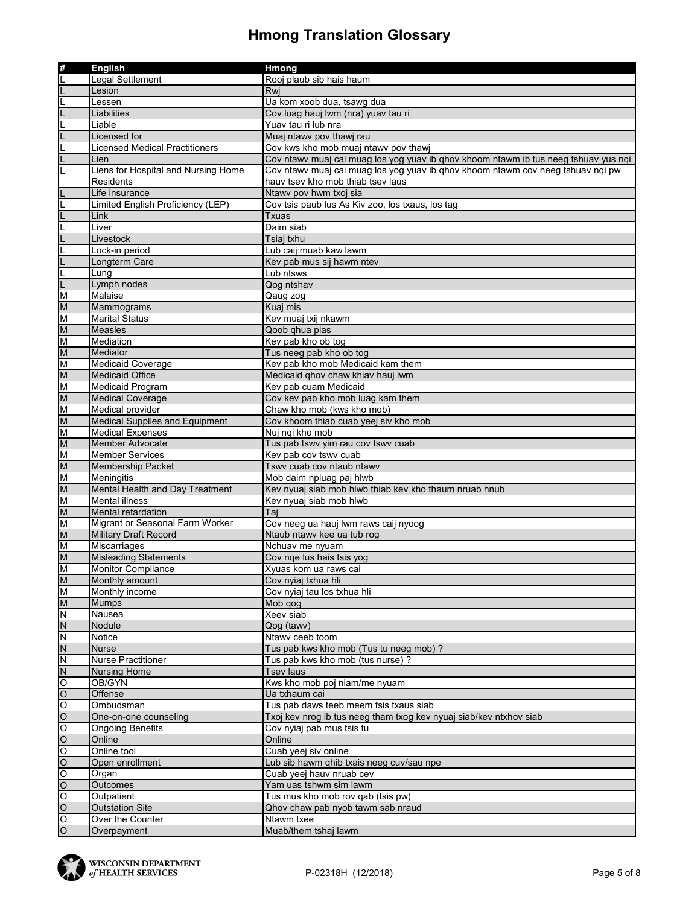| #                                                                                     | <b>English</b>                        | Hmong                                                                               |
|---------------------------------------------------------------------------------------|---------------------------------------|-------------------------------------------------------------------------------------|
|                                                                                       | Legal Settlement                      | Rooj plaub sib hais haum                                                            |
|                                                                                       | Lesion                                | Rwi                                                                                 |
|                                                                                       | Lessen                                | Ua kom xoob dua, tsawg dua                                                          |
|                                                                                       | Liabilities                           | Cov luag hauj lwm (nra) yuav tau ri                                                 |
|                                                                                       | Liable                                | Yuav tau ri lub nra                                                                 |
|                                                                                       | Licensed for                          | Muaj ntawy pov thawj rau                                                            |
|                                                                                       | <b>Licensed Medical Practitioners</b> | Cov kws kho mob muaj ntawv pov thawj                                                |
|                                                                                       | Lien                                  | Cov ntawv muaj cai muag los yog yuav ib qhov khoom ntawm ib tus neeg tshuav yus nqi |
| L                                                                                     | Liens for Hospital and Nursing Home   | Cov ntawv muaj cai muag los yog yuav ib qhov khoom ntawm cov neeg tshuav nqi pw     |
|                                                                                       | <b>Residents</b>                      | hauv tsey kho mob thiab tsey laus                                                   |
|                                                                                       | Life insurance                        | Ntawy pov hwm txoj sia                                                              |
|                                                                                       | Limited English Proficiency (LEP)     | Cov tsis paub lus As Kiv zoo, los txaus, los tag                                    |
|                                                                                       | Link                                  | Txuas                                                                               |
|                                                                                       | Liver                                 | Daim siab                                                                           |
|                                                                                       | Livestock                             | Tsiaj txhu                                                                          |
|                                                                                       | Lock-in period                        | Lub caij muab kaw lawm                                                              |
|                                                                                       | Longterm Care                         | Kev pab mus sij hawm ntev                                                           |
| L                                                                                     | Lung                                  | Lub ntsws                                                                           |
|                                                                                       | Lymph nodes                           | Qog ntshav                                                                          |
| M                                                                                     | Malaise                               | Qaug zog                                                                            |
| M                                                                                     | Mammograms                            | Kuaj mis                                                                            |
| M                                                                                     | <b>Marital Status</b>                 | Kev muaj txij nkawm                                                                 |
| ${\sf M}$                                                                             | <b>Measles</b>                        | Qoob qhua pias                                                                      |
| M                                                                                     | Mediation                             | Kev pab kho ob tog                                                                  |
| M                                                                                     | Mediator                              | Tus neeg pab kho ob tog                                                             |
| M                                                                                     | <b>Medicaid Coverage</b>              | Kev pab kho mob Medicaid kam them                                                   |
| $\overline{M}$                                                                        | <b>Medicaid Office</b>                | Medicaid qhov chaw khiav hauj lwm                                                   |
| M                                                                                     | Medicaid Program                      | Kev pab cuam Medicaid                                                               |
| ${\sf M}$                                                                             | <b>Medical Coverage</b>               | Cov kev pab kho mob luag kam them                                                   |
| M                                                                                     | Medical provider                      | Chaw kho mob (kws kho mob)                                                          |
| $\overline{M}$                                                                        | <b>Medical Supplies and Equipment</b> | Cov khoom thiab cuab yeej siv kho mob                                               |
| M                                                                                     | <b>Medical Expenses</b>               | Nuj nqi kho mob                                                                     |
| ${\sf M}$                                                                             | Member Advocate                       | Tus pab tswv yim rau cov tswv cuab                                                  |
| M                                                                                     | <b>Member Services</b>                | Kev pab cov tswy cuab                                                               |
| $\overline{M}$                                                                        | <b>Membership Packet</b>              | Tswy cuab cov ntaub ntawy                                                           |
| M                                                                                     | Meningitis                            | Mob daim npluag paj hlwb                                                            |
| ${\sf M}$                                                                             | Mental Health and Day Treatment       | Kev nyuaj siab mob hlwb thiab kev kho thaum nruab hnub                              |
| M                                                                                     | <b>Mental illness</b>                 | Kev nyuaj siab mob hlwb                                                             |
| ${\sf M}$                                                                             | Mental retardation                    | Tai                                                                                 |
| M                                                                                     | Migrant or Seasonal Farm Worker       | Cov neeg ua hauj lwm raws caij nyoog                                                |
| M                                                                                     | <b>Military Draft Record</b>          | Ntaub ntawy kee ua tub rog                                                          |
| M                                                                                     | <b>Miscarriages</b>                   | Nchuav me nyuam                                                                     |
| M                                                                                     | <b>Misleading Statements</b>          | Cov nge lus hais tsis yog                                                           |
| M                                                                                     | Monitor Compliance                    | Xyuas kom ua raws cai                                                               |
| $\mathsf{M}% _{T}=\mathsf{M}_{T}\!\left( a,b\right) ,\ \mathsf{M}_{T}=\mathsf{M}_{T}$ | Monthly amount                        | Cov nyiaj txhua hli                                                                 |
| M                                                                                     | Monthly income                        | Cov nyiaj tau los txhua hli                                                         |
| M                                                                                     | Mumps                                 | Mob qog                                                                             |
| $\overline{N}$                                                                        | Nausea                                | Xeev siab                                                                           |
| N                                                                                     | Nodule                                | Qog (tawv)                                                                          |
| $\overline{N}$                                                                        | Notice                                | Ntawv ceeb toom                                                                     |
| $\overline{N}$                                                                        | <b>Nurse</b>                          | Tus pab kws kho mob (Tus tu neeg mob) ?                                             |
| N                                                                                     | <b>Nurse Practitioner</b>             | Tus pab kws kho mob (tus nurse)?                                                    |
| N                                                                                     | <b>Nursing Home</b>                   | Tsev laus                                                                           |
| $\overline{O}$                                                                        | OB/GYN                                | Kws kho mob poj niam/me nyuam                                                       |
| $\overline{O}$                                                                        | Offense                               | Ua txhaum cai                                                                       |
| O                                                                                     | Ombudsman                             | Tus pab daws teeb meem tsis txaus siab                                              |
| $\overline{O}$                                                                        | One-on-one counseling                 | Txoj kev nrog ib tus neeg tham txog kev nyuaj siab/kev ntxhov siab                  |
| $\overline{\circ}$                                                                    | <b>Ongoing Benefits</b>               | Cov nyiaj pab mus tsis tu                                                           |
| $\overline{O}$                                                                        | Online                                | Online                                                                              |
| O                                                                                     | Online tool                           | Cuab yeej siv online                                                                |
| $\overline{O}$                                                                        | Open enrollment                       | Lub sib hawm qhib txais neeg cuv/sau npe                                            |
| $\overline{O}$                                                                        | Organ                                 | Cuab yeej hauv nruab cev                                                            |
| $\overline{O}$                                                                        | Outcomes                              | Yam uas tshwm sim lawm                                                              |
| O                                                                                     | Outpatient                            | Tus mus kho mob rov qab (tsis pw)                                                   |
| $\overline{O}$                                                                        | <b>Outstation Site</b>                | Qhov chaw pab nyob tawm sab nraud                                                   |
| $\frac{1}{2}$                                                                         | Over the Counter                      | Ntawm txee                                                                          |
|                                                                                       | Overpayment                           | Muab/them tshaj lawm                                                                |

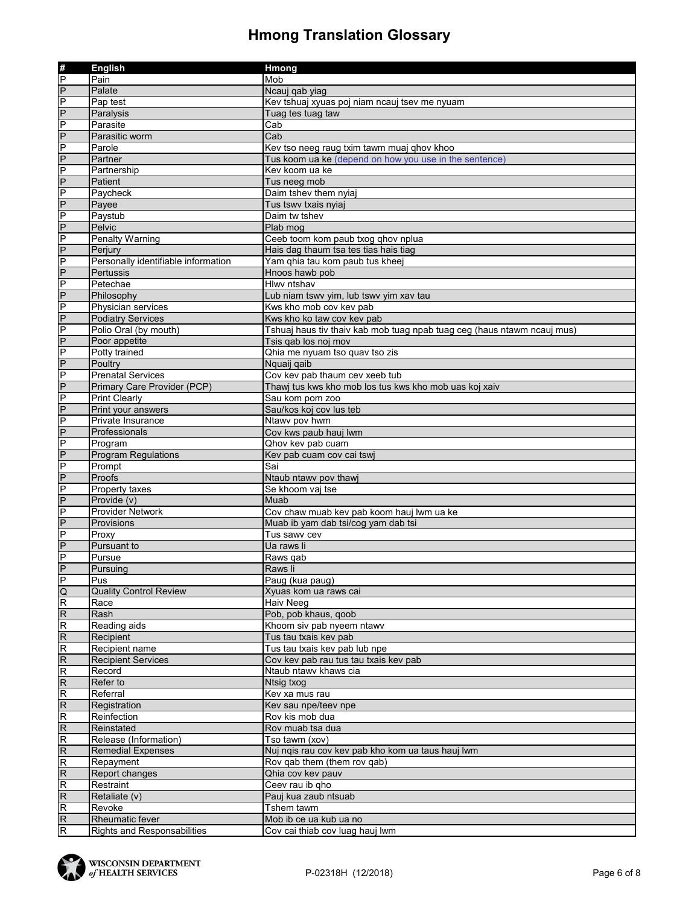| #<br>P<br>Mob<br>Pain<br>$\overline{P}$<br>Palate<br>Ncauj qab yiag<br>$\frac{P}{P}$<br>Pap test<br>Kev tshuaj xyuas poj niam ncauj tsev me nyuam<br>Paralysis<br>Tuag tes tuag taw<br>$\overline{P}$<br>Parasite<br>Cab<br>$\overline{P}$<br>Parasitic worm<br>Cab<br>$\overline{P}$<br>Parole<br>Kev tso neeg raug txim tawm muaj qhov khoo<br>$\overline{P}$<br>Partner<br>Tus koom ua ke (depend on how you use in the sentence)<br>$\overline{P}$<br>Partnership<br>Kev koom ua ke<br>$\overline{P}$<br>Patient<br>Tus neeg mob<br>$\overline{P}$<br>Daim tshev them nyiaj<br>Paycheck<br>$\overline{P}$<br>Payee<br>Tus tswy txais nyiaj<br>$\overline{P}$<br>Paystub<br>Daim tw tshev<br>$\frac{P}{P}$<br>Pelvic<br>Plab mog<br>Ceeb toom kom paub txog qhov nplua<br>Penalty Warning<br>$\overline{P}$<br>Hais dag thaum tsa tes tias hais tiag<br>Perjury<br>$\overline{P}$<br>Personally identifiable information<br>Yam qhia tau kom paub tus kheej<br>$\overline{P}$<br>Pertussis<br>Hnoos hawb pob<br>$\overline{P}$<br>Petechae<br>Hlwy ntshav<br>$\overline{P}$<br>Philosophy<br>Lub niam tswv yim, lub tswv yim xav tau<br>$\overline{P}$<br>Physician services<br>Kws kho mob cov kev pab<br>$\overline{P}$<br><b>Podiatry Services</b><br>Kws kho ko taw cov kev pab<br>$\overline{P}$<br>Polio Oral (by mouth)<br>Tshuaj haus tiv thaiv kab mob tuag npab tuag ceg (haus ntawm ncauj mus)<br>$\overline{P}$<br>Poor appetite<br>Tsis gab los noi mov<br>$\overline{P}$<br>Potty trained<br>Qhia me nyuam tso quav tso zis<br>$\overline{P}$<br>Poultry<br>Nquaij qaib<br>$\overline{P}$<br><b>Prenatal Services</b><br>Cov kev pab thaum cev xeeb tub<br>$\overline{P}$<br>Primary Care Provider (PCP)<br>Thawj tus kws kho mob los tus kws kho mob uas koj xaiv<br>$\overline{P}$<br><b>Print Clearly</b><br>Sau kom pom zoo<br>$\overline{P}$<br>Print your answers<br>Sau/kos koj cov lus teb<br>$\overline{P}$<br>Private Insurance<br>Ntawy pov hwm<br>$\overline{P}$<br>Professionals<br>Cov kws paub hauj lwm<br>P<br>Program<br>Qhov kev pab cuam<br>$\overline{P}$<br><b>Program Regulations</b><br>Kev pab cuam cov cai tswj<br>$\overline{P}$<br>Prompt<br>Sai<br>$\overline{P}$<br>Proofs<br>Ntaub ntawv pov thawj<br>$\overline{P}$<br>Property taxes<br>Se khoom vaj tse<br>$\overline{P}$<br>Provide (v)<br>Muab<br>P<br><b>Provider Network</b><br>Cov chaw muab kev pab koom hauj lwm ua ke<br>$\overline{P}$<br>Provisions<br>Muab ib yam dab tsi/cog yam dab tsi<br>$\overline{P}$<br>Proxy<br>Tus sawy cev<br>$\overline{P}$<br>Pursuant to<br>Ua raws li<br>$\overline{P}$<br>Pursue<br>Raws qab<br>$\overline{P}$<br>Pursuing<br>Raws li<br>P<br>Pus<br>Paug (kua paug)<br>$\overline{Q}$<br>Xyuas kom ua raws cai<br><b>Quality Control Review</b><br>$\overline{R}$<br>Haiv Neeg<br>Race<br>$\overline{R}$<br>Rash<br>Pob, pob khaus, qoob<br>$\overline{R}$<br>Reading aids<br>Khoom siv pab nyeem ntawv<br>$\overline{R}$<br>Tus tau txais kev pab<br>Recipient<br>R<br>Recipient name<br>Tus tau txais kev pab lub npe<br>$\overline{R}$<br><b>Recipient Services</b><br>Cov kev pab rau tus tau txais kev pab<br>$\overline{R}$<br>Ntaub ntawv khaws cia<br>Record<br>$\overline{R}$<br>Refer to<br>Ntsig txog<br>R<br>Referral<br>Kev xa mus rau<br>$\overline{R}$<br>Registration<br>Kev sau npe/teev npe<br>R<br>Reinfection<br>Rov kis mob dua<br>$\overline{R}$<br>Reinstated<br>Rov muab tsa dua<br>$\overline{\mathsf{R}}$<br>Release (Information)<br>Tso tawm (xov)<br>$\overline{R}$<br><b>Remedial Expenses</b><br>Nuj nqis rau cov kev pab kho kom ua taus hauj lwm<br>Rov qab them (them rov qab)<br>Repayment<br>Report changes<br>Qhia cov kev pauv<br>$\overline{R}$<br>Restraint<br>Ceev rau ib qho<br>$\overline{R}$<br>Pauj kua zaub ntsuab<br>Retaliate (v)<br>R<br>Revoke<br>Tshem tawm<br>$\overline{R}$<br>Rheumatic fever<br>Mob ib ce ua kub ua no<br><b>Rights and Responsabilities</b><br>Cov cai thiab cov luag hauj lwm |                | <b>English</b> | <b>Hmong</b> |
|-----------------------------------------------------------------------------------------------------------------------------------------------------------------------------------------------------------------------------------------------------------------------------------------------------------------------------------------------------------------------------------------------------------------------------------------------------------------------------------------------------------------------------------------------------------------------------------------------------------------------------------------------------------------------------------------------------------------------------------------------------------------------------------------------------------------------------------------------------------------------------------------------------------------------------------------------------------------------------------------------------------------------------------------------------------------------------------------------------------------------------------------------------------------------------------------------------------------------------------------------------------------------------------------------------------------------------------------------------------------------------------------------------------------------------------------------------------------------------------------------------------------------------------------------------------------------------------------------------------------------------------------------------------------------------------------------------------------------------------------------------------------------------------------------------------------------------------------------------------------------------------------------------------------------------------------------------------------------------------------------------------------------------------------------------------------------------------------------------------------------------------------------------------------------------------------------------------------------------------------------------------------------------------------------------------------------------------------------------------------------------------------------------------------------------------------------------------------------------------------------------------------------------------------------------------------------------------------------------------------------------------------------------------------------------------------------------------------------------------------------------------------------------------------------------------------------------------------------------------------------------------------------------------------------------------------------------------------------------------------------------------------------------------------------------------------------------------------------------------------------------------------------------------------------------------------------------------------------------------------------------------------------------------------------------------------------------------------------------------------------------------------------------------------------------------------------------------------------------------------------------------------------------------------------------------------------------------------------------------------------------------------------------------------------------------------------------------------------------------------------------------------------------------------------------------------------------------------------------------------------------------------------------------------------------------------------------------------------------------------------------|----------------|----------------|--------------|
|                                                                                                                                                                                                                                                                                                                                                                                                                                                                                                                                                                                                                                                                                                                                                                                                                                                                                                                                                                                                                                                                                                                                                                                                                                                                                                                                                                                                                                                                                                                                                                                                                                                                                                                                                                                                                                                                                                                                                                                                                                                                                                                                                                                                                                                                                                                                                                                                                                                                                                                                                                                                                                                                                                                                                                                                                                                                                                                                                                                                                                                                                                                                                                                                                                                                                                                                                                                                                                                                                                                                                                                                                                                                                                                                                                                                                                                                                                                                                                                                     |                |                |              |
|                                                                                                                                                                                                                                                                                                                                                                                                                                                                                                                                                                                                                                                                                                                                                                                                                                                                                                                                                                                                                                                                                                                                                                                                                                                                                                                                                                                                                                                                                                                                                                                                                                                                                                                                                                                                                                                                                                                                                                                                                                                                                                                                                                                                                                                                                                                                                                                                                                                                                                                                                                                                                                                                                                                                                                                                                                                                                                                                                                                                                                                                                                                                                                                                                                                                                                                                                                                                                                                                                                                                                                                                                                                                                                                                                                                                                                                                                                                                                                                                     |                |                |              |
|                                                                                                                                                                                                                                                                                                                                                                                                                                                                                                                                                                                                                                                                                                                                                                                                                                                                                                                                                                                                                                                                                                                                                                                                                                                                                                                                                                                                                                                                                                                                                                                                                                                                                                                                                                                                                                                                                                                                                                                                                                                                                                                                                                                                                                                                                                                                                                                                                                                                                                                                                                                                                                                                                                                                                                                                                                                                                                                                                                                                                                                                                                                                                                                                                                                                                                                                                                                                                                                                                                                                                                                                                                                                                                                                                                                                                                                                                                                                                                                                     |                |                |              |
|                                                                                                                                                                                                                                                                                                                                                                                                                                                                                                                                                                                                                                                                                                                                                                                                                                                                                                                                                                                                                                                                                                                                                                                                                                                                                                                                                                                                                                                                                                                                                                                                                                                                                                                                                                                                                                                                                                                                                                                                                                                                                                                                                                                                                                                                                                                                                                                                                                                                                                                                                                                                                                                                                                                                                                                                                                                                                                                                                                                                                                                                                                                                                                                                                                                                                                                                                                                                                                                                                                                                                                                                                                                                                                                                                                                                                                                                                                                                                                                                     |                |                |              |
|                                                                                                                                                                                                                                                                                                                                                                                                                                                                                                                                                                                                                                                                                                                                                                                                                                                                                                                                                                                                                                                                                                                                                                                                                                                                                                                                                                                                                                                                                                                                                                                                                                                                                                                                                                                                                                                                                                                                                                                                                                                                                                                                                                                                                                                                                                                                                                                                                                                                                                                                                                                                                                                                                                                                                                                                                                                                                                                                                                                                                                                                                                                                                                                                                                                                                                                                                                                                                                                                                                                                                                                                                                                                                                                                                                                                                                                                                                                                                                                                     |                |                |              |
|                                                                                                                                                                                                                                                                                                                                                                                                                                                                                                                                                                                                                                                                                                                                                                                                                                                                                                                                                                                                                                                                                                                                                                                                                                                                                                                                                                                                                                                                                                                                                                                                                                                                                                                                                                                                                                                                                                                                                                                                                                                                                                                                                                                                                                                                                                                                                                                                                                                                                                                                                                                                                                                                                                                                                                                                                                                                                                                                                                                                                                                                                                                                                                                                                                                                                                                                                                                                                                                                                                                                                                                                                                                                                                                                                                                                                                                                                                                                                                                                     |                |                |              |
|                                                                                                                                                                                                                                                                                                                                                                                                                                                                                                                                                                                                                                                                                                                                                                                                                                                                                                                                                                                                                                                                                                                                                                                                                                                                                                                                                                                                                                                                                                                                                                                                                                                                                                                                                                                                                                                                                                                                                                                                                                                                                                                                                                                                                                                                                                                                                                                                                                                                                                                                                                                                                                                                                                                                                                                                                                                                                                                                                                                                                                                                                                                                                                                                                                                                                                                                                                                                                                                                                                                                                                                                                                                                                                                                                                                                                                                                                                                                                                                                     |                |                |              |
|                                                                                                                                                                                                                                                                                                                                                                                                                                                                                                                                                                                                                                                                                                                                                                                                                                                                                                                                                                                                                                                                                                                                                                                                                                                                                                                                                                                                                                                                                                                                                                                                                                                                                                                                                                                                                                                                                                                                                                                                                                                                                                                                                                                                                                                                                                                                                                                                                                                                                                                                                                                                                                                                                                                                                                                                                                                                                                                                                                                                                                                                                                                                                                                                                                                                                                                                                                                                                                                                                                                                                                                                                                                                                                                                                                                                                                                                                                                                                                                                     |                |                |              |
|                                                                                                                                                                                                                                                                                                                                                                                                                                                                                                                                                                                                                                                                                                                                                                                                                                                                                                                                                                                                                                                                                                                                                                                                                                                                                                                                                                                                                                                                                                                                                                                                                                                                                                                                                                                                                                                                                                                                                                                                                                                                                                                                                                                                                                                                                                                                                                                                                                                                                                                                                                                                                                                                                                                                                                                                                                                                                                                                                                                                                                                                                                                                                                                                                                                                                                                                                                                                                                                                                                                                                                                                                                                                                                                                                                                                                                                                                                                                                                                                     |                |                |              |
|                                                                                                                                                                                                                                                                                                                                                                                                                                                                                                                                                                                                                                                                                                                                                                                                                                                                                                                                                                                                                                                                                                                                                                                                                                                                                                                                                                                                                                                                                                                                                                                                                                                                                                                                                                                                                                                                                                                                                                                                                                                                                                                                                                                                                                                                                                                                                                                                                                                                                                                                                                                                                                                                                                                                                                                                                                                                                                                                                                                                                                                                                                                                                                                                                                                                                                                                                                                                                                                                                                                                                                                                                                                                                                                                                                                                                                                                                                                                                                                                     |                |                |              |
|                                                                                                                                                                                                                                                                                                                                                                                                                                                                                                                                                                                                                                                                                                                                                                                                                                                                                                                                                                                                                                                                                                                                                                                                                                                                                                                                                                                                                                                                                                                                                                                                                                                                                                                                                                                                                                                                                                                                                                                                                                                                                                                                                                                                                                                                                                                                                                                                                                                                                                                                                                                                                                                                                                                                                                                                                                                                                                                                                                                                                                                                                                                                                                                                                                                                                                                                                                                                                                                                                                                                                                                                                                                                                                                                                                                                                                                                                                                                                                                                     |                |                |              |
|                                                                                                                                                                                                                                                                                                                                                                                                                                                                                                                                                                                                                                                                                                                                                                                                                                                                                                                                                                                                                                                                                                                                                                                                                                                                                                                                                                                                                                                                                                                                                                                                                                                                                                                                                                                                                                                                                                                                                                                                                                                                                                                                                                                                                                                                                                                                                                                                                                                                                                                                                                                                                                                                                                                                                                                                                                                                                                                                                                                                                                                                                                                                                                                                                                                                                                                                                                                                                                                                                                                                                                                                                                                                                                                                                                                                                                                                                                                                                                                                     |                |                |              |
|                                                                                                                                                                                                                                                                                                                                                                                                                                                                                                                                                                                                                                                                                                                                                                                                                                                                                                                                                                                                                                                                                                                                                                                                                                                                                                                                                                                                                                                                                                                                                                                                                                                                                                                                                                                                                                                                                                                                                                                                                                                                                                                                                                                                                                                                                                                                                                                                                                                                                                                                                                                                                                                                                                                                                                                                                                                                                                                                                                                                                                                                                                                                                                                                                                                                                                                                                                                                                                                                                                                                                                                                                                                                                                                                                                                                                                                                                                                                                                                                     |                |                |              |
|                                                                                                                                                                                                                                                                                                                                                                                                                                                                                                                                                                                                                                                                                                                                                                                                                                                                                                                                                                                                                                                                                                                                                                                                                                                                                                                                                                                                                                                                                                                                                                                                                                                                                                                                                                                                                                                                                                                                                                                                                                                                                                                                                                                                                                                                                                                                                                                                                                                                                                                                                                                                                                                                                                                                                                                                                                                                                                                                                                                                                                                                                                                                                                                                                                                                                                                                                                                                                                                                                                                                                                                                                                                                                                                                                                                                                                                                                                                                                                                                     |                |                |              |
|                                                                                                                                                                                                                                                                                                                                                                                                                                                                                                                                                                                                                                                                                                                                                                                                                                                                                                                                                                                                                                                                                                                                                                                                                                                                                                                                                                                                                                                                                                                                                                                                                                                                                                                                                                                                                                                                                                                                                                                                                                                                                                                                                                                                                                                                                                                                                                                                                                                                                                                                                                                                                                                                                                                                                                                                                                                                                                                                                                                                                                                                                                                                                                                                                                                                                                                                                                                                                                                                                                                                                                                                                                                                                                                                                                                                                                                                                                                                                                                                     |                |                |              |
|                                                                                                                                                                                                                                                                                                                                                                                                                                                                                                                                                                                                                                                                                                                                                                                                                                                                                                                                                                                                                                                                                                                                                                                                                                                                                                                                                                                                                                                                                                                                                                                                                                                                                                                                                                                                                                                                                                                                                                                                                                                                                                                                                                                                                                                                                                                                                                                                                                                                                                                                                                                                                                                                                                                                                                                                                                                                                                                                                                                                                                                                                                                                                                                                                                                                                                                                                                                                                                                                                                                                                                                                                                                                                                                                                                                                                                                                                                                                                                                                     |                |                |              |
|                                                                                                                                                                                                                                                                                                                                                                                                                                                                                                                                                                                                                                                                                                                                                                                                                                                                                                                                                                                                                                                                                                                                                                                                                                                                                                                                                                                                                                                                                                                                                                                                                                                                                                                                                                                                                                                                                                                                                                                                                                                                                                                                                                                                                                                                                                                                                                                                                                                                                                                                                                                                                                                                                                                                                                                                                                                                                                                                                                                                                                                                                                                                                                                                                                                                                                                                                                                                                                                                                                                                                                                                                                                                                                                                                                                                                                                                                                                                                                                                     |                |                |              |
|                                                                                                                                                                                                                                                                                                                                                                                                                                                                                                                                                                                                                                                                                                                                                                                                                                                                                                                                                                                                                                                                                                                                                                                                                                                                                                                                                                                                                                                                                                                                                                                                                                                                                                                                                                                                                                                                                                                                                                                                                                                                                                                                                                                                                                                                                                                                                                                                                                                                                                                                                                                                                                                                                                                                                                                                                                                                                                                                                                                                                                                                                                                                                                                                                                                                                                                                                                                                                                                                                                                                                                                                                                                                                                                                                                                                                                                                                                                                                                                                     |                |                |              |
|                                                                                                                                                                                                                                                                                                                                                                                                                                                                                                                                                                                                                                                                                                                                                                                                                                                                                                                                                                                                                                                                                                                                                                                                                                                                                                                                                                                                                                                                                                                                                                                                                                                                                                                                                                                                                                                                                                                                                                                                                                                                                                                                                                                                                                                                                                                                                                                                                                                                                                                                                                                                                                                                                                                                                                                                                                                                                                                                                                                                                                                                                                                                                                                                                                                                                                                                                                                                                                                                                                                                                                                                                                                                                                                                                                                                                                                                                                                                                                                                     |                |                |              |
|                                                                                                                                                                                                                                                                                                                                                                                                                                                                                                                                                                                                                                                                                                                                                                                                                                                                                                                                                                                                                                                                                                                                                                                                                                                                                                                                                                                                                                                                                                                                                                                                                                                                                                                                                                                                                                                                                                                                                                                                                                                                                                                                                                                                                                                                                                                                                                                                                                                                                                                                                                                                                                                                                                                                                                                                                                                                                                                                                                                                                                                                                                                                                                                                                                                                                                                                                                                                                                                                                                                                                                                                                                                                                                                                                                                                                                                                                                                                                                                                     |                |                |              |
|                                                                                                                                                                                                                                                                                                                                                                                                                                                                                                                                                                                                                                                                                                                                                                                                                                                                                                                                                                                                                                                                                                                                                                                                                                                                                                                                                                                                                                                                                                                                                                                                                                                                                                                                                                                                                                                                                                                                                                                                                                                                                                                                                                                                                                                                                                                                                                                                                                                                                                                                                                                                                                                                                                                                                                                                                                                                                                                                                                                                                                                                                                                                                                                                                                                                                                                                                                                                                                                                                                                                                                                                                                                                                                                                                                                                                                                                                                                                                                                                     |                |                |              |
|                                                                                                                                                                                                                                                                                                                                                                                                                                                                                                                                                                                                                                                                                                                                                                                                                                                                                                                                                                                                                                                                                                                                                                                                                                                                                                                                                                                                                                                                                                                                                                                                                                                                                                                                                                                                                                                                                                                                                                                                                                                                                                                                                                                                                                                                                                                                                                                                                                                                                                                                                                                                                                                                                                                                                                                                                                                                                                                                                                                                                                                                                                                                                                                                                                                                                                                                                                                                                                                                                                                                                                                                                                                                                                                                                                                                                                                                                                                                                                                                     |                |                |              |
|                                                                                                                                                                                                                                                                                                                                                                                                                                                                                                                                                                                                                                                                                                                                                                                                                                                                                                                                                                                                                                                                                                                                                                                                                                                                                                                                                                                                                                                                                                                                                                                                                                                                                                                                                                                                                                                                                                                                                                                                                                                                                                                                                                                                                                                                                                                                                                                                                                                                                                                                                                                                                                                                                                                                                                                                                                                                                                                                                                                                                                                                                                                                                                                                                                                                                                                                                                                                                                                                                                                                                                                                                                                                                                                                                                                                                                                                                                                                                                                                     |                |                |              |
|                                                                                                                                                                                                                                                                                                                                                                                                                                                                                                                                                                                                                                                                                                                                                                                                                                                                                                                                                                                                                                                                                                                                                                                                                                                                                                                                                                                                                                                                                                                                                                                                                                                                                                                                                                                                                                                                                                                                                                                                                                                                                                                                                                                                                                                                                                                                                                                                                                                                                                                                                                                                                                                                                                                                                                                                                                                                                                                                                                                                                                                                                                                                                                                                                                                                                                                                                                                                                                                                                                                                                                                                                                                                                                                                                                                                                                                                                                                                                                                                     |                |                |              |
|                                                                                                                                                                                                                                                                                                                                                                                                                                                                                                                                                                                                                                                                                                                                                                                                                                                                                                                                                                                                                                                                                                                                                                                                                                                                                                                                                                                                                                                                                                                                                                                                                                                                                                                                                                                                                                                                                                                                                                                                                                                                                                                                                                                                                                                                                                                                                                                                                                                                                                                                                                                                                                                                                                                                                                                                                                                                                                                                                                                                                                                                                                                                                                                                                                                                                                                                                                                                                                                                                                                                                                                                                                                                                                                                                                                                                                                                                                                                                                                                     |                |                |              |
|                                                                                                                                                                                                                                                                                                                                                                                                                                                                                                                                                                                                                                                                                                                                                                                                                                                                                                                                                                                                                                                                                                                                                                                                                                                                                                                                                                                                                                                                                                                                                                                                                                                                                                                                                                                                                                                                                                                                                                                                                                                                                                                                                                                                                                                                                                                                                                                                                                                                                                                                                                                                                                                                                                                                                                                                                                                                                                                                                                                                                                                                                                                                                                                                                                                                                                                                                                                                                                                                                                                                                                                                                                                                                                                                                                                                                                                                                                                                                                                                     |                |                |              |
|                                                                                                                                                                                                                                                                                                                                                                                                                                                                                                                                                                                                                                                                                                                                                                                                                                                                                                                                                                                                                                                                                                                                                                                                                                                                                                                                                                                                                                                                                                                                                                                                                                                                                                                                                                                                                                                                                                                                                                                                                                                                                                                                                                                                                                                                                                                                                                                                                                                                                                                                                                                                                                                                                                                                                                                                                                                                                                                                                                                                                                                                                                                                                                                                                                                                                                                                                                                                                                                                                                                                                                                                                                                                                                                                                                                                                                                                                                                                                                                                     |                |                |              |
|                                                                                                                                                                                                                                                                                                                                                                                                                                                                                                                                                                                                                                                                                                                                                                                                                                                                                                                                                                                                                                                                                                                                                                                                                                                                                                                                                                                                                                                                                                                                                                                                                                                                                                                                                                                                                                                                                                                                                                                                                                                                                                                                                                                                                                                                                                                                                                                                                                                                                                                                                                                                                                                                                                                                                                                                                                                                                                                                                                                                                                                                                                                                                                                                                                                                                                                                                                                                                                                                                                                                                                                                                                                                                                                                                                                                                                                                                                                                                                                                     |                |                |              |
|                                                                                                                                                                                                                                                                                                                                                                                                                                                                                                                                                                                                                                                                                                                                                                                                                                                                                                                                                                                                                                                                                                                                                                                                                                                                                                                                                                                                                                                                                                                                                                                                                                                                                                                                                                                                                                                                                                                                                                                                                                                                                                                                                                                                                                                                                                                                                                                                                                                                                                                                                                                                                                                                                                                                                                                                                                                                                                                                                                                                                                                                                                                                                                                                                                                                                                                                                                                                                                                                                                                                                                                                                                                                                                                                                                                                                                                                                                                                                                                                     |                |                |              |
|                                                                                                                                                                                                                                                                                                                                                                                                                                                                                                                                                                                                                                                                                                                                                                                                                                                                                                                                                                                                                                                                                                                                                                                                                                                                                                                                                                                                                                                                                                                                                                                                                                                                                                                                                                                                                                                                                                                                                                                                                                                                                                                                                                                                                                                                                                                                                                                                                                                                                                                                                                                                                                                                                                                                                                                                                                                                                                                                                                                                                                                                                                                                                                                                                                                                                                                                                                                                                                                                                                                                                                                                                                                                                                                                                                                                                                                                                                                                                                                                     |                |                |              |
|                                                                                                                                                                                                                                                                                                                                                                                                                                                                                                                                                                                                                                                                                                                                                                                                                                                                                                                                                                                                                                                                                                                                                                                                                                                                                                                                                                                                                                                                                                                                                                                                                                                                                                                                                                                                                                                                                                                                                                                                                                                                                                                                                                                                                                                                                                                                                                                                                                                                                                                                                                                                                                                                                                                                                                                                                                                                                                                                                                                                                                                                                                                                                                                                                                                                                                                                                                                                                                                                                                                                                                                                                                                                                                                                                                                                                                                                                                                                                                                                     |                |                |              |
|                                                                                                                                                                                                                                                                                                                                                                                                                                                                                                                                                                                                                                                                                                                                                                                                                                                                                                                                                                                                                                                                                                                                                                                                                                                                                                                                                                                                                                                                                                                                                                                                                                                                                                                                                                                                                                                                                                                                                                                                                                                                                                                                                                                                                                                                                                                                                                                                                                                                                                                                                                                                                                                                                                                                                                                                                                                                                                                                                                                                                                                                                                                                                                                                                                                                                                                                                                                                                                                                                                                                                                                                                                                                                                                                                                                                                                                                                                                                                                                                     |                |                |              |
|                                                                                                                                                                                                                                                                                                                                                                                                                                                                                                                                                                                                                                                                                                                                                                                                                                                                                                                                                                                                                                                                                                                                                                                                                                                                                                                                                                                                                                                                                                                                                                                                                                                                                                                                                                                                                                                                                                                                                                                                                                                                                                                                                                                                                                                                                                                                                                                                                                                                                                                                                                                                                                                                                                                                                                                                                                                                                                                                                                                                                                                                                                                                                                                                                                                                                                                                                                                                                                                                                                                                                                                                                                                                                                                                                                                                                                                                                                                                                                                                     |                |                |              |
|                                                                                                                                                                                                                                                                                                                                                                                                                                                                                                                                                                                                                                                                                                                                                                                                                                                                                                                                                                                                                                                                                                                                                                                                                                                                                                                                                                                                                                                                                                                                                                                                                                                                                                                                                                                                                                                                                                                                                                                                                                                                                                                                                                                                                                                                                                                                                                                                                                                                                                                                                                                                                                                                                                                                                                                                                                                                                                                                                                                                                                                                                                                                                                                                                                                                                                                                                                                                                                                                                                                                                                                                                                                                                                                                                                                                                                                                                                                                                                                                     |                |                |              |
|                                                                                                                                                                                                                                                                                                                                                                                                                                                                                                                                                                                                                                                                                                                                                                                                                                                                                                                                                                                                                                                                                                                                                                                                                                                                                                                                                                                                                                                                                                                                                                                                                                                                                                                                                                                                                                                                                                                                                                                                                                                                                                                                                                                                                                                                                                                                                                                                                                                                                                                                                                                                                                                                                                                                                                                                                                                                                                                                                                                                                                                                                                                                                                                                                                                                                                                                                                                                                                                                                                                                                                                                                                                                                                                                                                                                                                                                                                                                                                                                     |                |                |              |
|                                                                                                                                                                                                                                                                                                                                                                                                                                                                                                                                                                                                                                                                                                                                                                                                                                                                                                                                                                                                                                                                                                                                                                                                                                                                                                                                                                                                                                                                                                                                                                                                                                                                                                                                                                                                                                                                                                                                                                                                                                                                                                                                                                                                                                                                                                                                                                                                                                                                                                                                                                                                                                                                                                                                                                                                                                                                                                                                                                                                                                                                                                                                                                                                                                                                                                                                                                                                                                                                                                                                                                                                                                                                                                                                                                                                                                                                                                                                                                                                     |                |                |              |
|                                                                                                                                                                                                                                                                                                                                                                                                                                                                                                                                                                                                                                                                                                                                                                                                                                                                                                                                                                                                                                                                                                                                                                                                                                                                                                                                                                                                                                                                                                                                                                                                                                                                                                                                                                                                                                                                                                                                                                                                                                                                                                                                                                                                                                                                                                                                                                                                                                                                                                                                                                                                                                                                                                                                                                                                                                                                                                                                                                                                                                                                                                                                                                                                                                                                                                                                                                                                                                                                                                                                                                                                                                                                                                                                                                                                                                                                                                                                                                                                     |                |                |              |
|                                                                                                                                                                                                                                                                                                                                                                                                                                                                                                                                                                                                                                                                                                                                                                                                                                                                                                                                                                                                                                                                                                                                                                                                                                                                                                                                                                                                                                                                                                                                                                                                                                                                                                                                                                                                                                                                                                                                                                                                                                                                                                                                                                                                                                                                                                                                                                                                                                                                                                                                                                                                                                                                                                                                                                                                                                                                                                                                                                                                                                                                                                                                                                                                                                                                                                                                                                                                                                                                                                                                                                                                                                                                                                                                                                                                                                                                                                                                                                                                     |                |                |              |
|                                                                                                                                                                                                                                                                                                                                                                                                                                                                                                                                                                                                                                                                                                                                                                                                                                                                                                                                                                                                                                                                                                                                                                                                                                                                                                                                                                                                                                                                                                                                                                                                                                                                                                                                                                                                                                                                                                                                                                                                                                                                                                                                                                                                                                                                                                                                                                                                                                                                                                                                                                                                                                                                                                                                                                                                                                                                                                                                                                                                                                                                                                                                                                                                                                                                                                                                                                                                                                                                                                                                                                                                                                                                                                                                                                                                                                                                                                                                                                                                     |                |                |              |
|                                                                                                                                                                                                                                                                                                                                                                                                                                                                                                                                                                                                                                                                                                                                                                                                                                                                                                                                                                                                                                                                                                                                                                                                                                                                                                                                                                                                                                                                                                                                                                                                                                                                                                                                                                                                                                                                                                                                                                                                                                                                                                                                                                                                                                                                                                                                                                                                                                                                                                                                                                                                                                                                                                                                                                                                                                                                                                                                                                                                                                                                                                                                                                                                                                                                                                                                                                                                                                                                                                                                                                                                                                                                                                                                                                                                                                                                                                                                                                                                     |                |                |              |
|                                                                                                                                                                                                                                                                                                                                                                                                                                                                                                                                                                                                                                                                                                                                                                                                                                                                                                                                                                                                                                                                                                                                                                                                                                                                                                                                                                                                                                                                                                                                                                                                                                                                                                                                                                                                                                                                                                                                                                                                                                                                                                                                                                                                                                                                                                                                                                                                                                                                                                                                                                                                                                                                                                                                                                                                                                                                                                                                                                                                                                                                                                                                                                                                                                                                                                                                                                                                                                                                                                                                                                                                                                                                                                                                                                                                                                                                                                                                                                                                     |                |                |              |
|                                                                                                                                                                                                                                                                                                                                                                                                                                                                                                                                                                                                                                                                                                                                                                                                                                                                                                                                                                                                                                                                                                                                                                                                                                                                                                                                                                                                                                                                                                                                                                                                                                                                                                                                                                                                                                                                                                                                                                                                                                                                                                                                                                                                                                                                                                                                                                                                                                                                                                                                                                                                                                                                                                                                                                                                                                                                                                                                                                                                                                                                                                                                                                                                                                                                                                                                                                                                                                                                                                                                                                                                                                                                                                                                                                                                                                                                                                                                                                                                     |                |                |              |
|                                                                                                                                                                                                                                                                                                                                                                                                                                                                                                                                                                                                                                                                                                                                                                                                                                                                                                                                                                                                                                                                                                                                                                                                                                                                                                                                                                                                                                                                                                                                                                                                                                                                                                                                                                                                                                                                                                                                                                                                                                                                                                                                                                                                                                                                                                                                                                                                                                                                                                                                                                                                                                                                                                                                                                                                                                                                                                                                                                                                                                                                                                                                                                                                                                                                                                                                                                                                                                                                                                                                                                                                                                                                                                                                                                                                                                                                                                                                                                                                     |                |                |              |
|                                                                                                                                                                                                                                                                                                                                                                                                                                                                                                                                                                                                                                                                                                                                                                                                                                                                                                                                                                                                                                                                                                                                                                                                                                                                                                                                                                                                                                                                                                                                                                                                                                                                                                                                                                                                                                                                                                                                                                                                                                                                                                                                                                                                                                                                                                                                                                                                                                                                                                                                                                                                                                                                                                                                                                                                                                                                                                                                                                                                                                                                                                                                                                                                                                                                                                                                                                                                                                                                                                                                                                                                                                                                                                                                                                                                                                                                                                                                                                                                     |                |                |              |
|                                                                                                                                                                                                                                                                                                                                                                                                                                                                                                                                                                                                                                                                                                                                                                                                                                                                                                                                                                                                                                                                                                                                                                                                                                                                                                                                                                                                                                                                                                                                                                                                                                                                                                                                                                                                                                                                                                                                                                                                                                                                                                                                                                                                                                                                                                                                                                                                                                                                                                                                                                                                                                                                                                                                                                                                                                                                                                                                                                                                                                                                                                                                                                                                                                                                                                                                                                                                                                                                                                                                                                                                                                                                                                                                                                                                                                                                                                                                                                                                     |                |                |              |
|                                                                                                                                                                                                                                                                                                                                                                                                                                                                                                                                                                                                                                                                                                                                                                                                                                                                                                                                                                                                                                                                                                                                                                                                                                                                                                                                                                                                                                                                                                                                                                                                                                                                                                                                                                                                                                                                                                                                                                                                                                                                                                                                                                                                                                                                                                                                                                                                                                                                                                                                                                                                                                                                                                                                                                                                                                                                                                                                                                                                                                                                                                                                                                                                                                                                                                                                                                                                                                                                                                                                                                                                                                                                                                                                                                                                                                                                                                                                                                                                     |                |                |              |
|                                                                                                                                                                                                                                                                                                                                                                                                                                                                                                                                                                                                                                                                                                                                                                                                                                                                                                                                                                                                                                                                                                                                                                                                                                                                                                                                                                                                                                                                                                                                                                                                                                                                                                                                                                                                                                                                                                                                                                                                                                                                                                                                                                                                                                                                                                                                                                                                                                                                                                                                                                                                                                                                                                                                                                                                                                                                                                                                                                                                                                                                                                                                                                                                                                                                                                                                                                                                                                                                                                                                                                                                                                                                                                                                                                                                                                                                                                                                                                                                     |                |                |              |
|                                                                                                                                                                                                                                                                                                                                                                                                                                                                                                                                                                                                                                                                                                                                                                                                                                                                                                                                                                                                                                                                                                                                                                                                                                                                                                                                                                                                                                                                                                                                                                                                                                                                                                                                                                                                                                                                                                                                                                                                                                                                                                                                                                                                                                                                                                                                                                                                                                                                                                                                                                                                                                                                                                                                                                                                                                                                                                                                                                                                                                                                                                                                                                                                                                                                                                                                                                                                                                                                                                                                                                                                                                                                                                                                                                                                                                                                                                                                                                                                     |                |                |              |
|                                                                                                                                                                                                                                                                                                                                                                                                                                                                                                                                                                                                                                                                                                                                                                                                                                                                                                                                                                                                                                                                                                                                                                                                                                                                                                                                                                                                                                                                                                                                                                                                                                                                                                                                                                                                                                                                                                                                                                                                                                                                                                                                                                                                                                                                                                                                                                                                                                                                                                                                                                                                                                                                                                                                                                                                                                                                                                                                                                                                                                                                                                                                                                                                                                                                                                                                                                                                                                                                                                                                                                                                                                                                                                                                                                                                                                                                                                                                                                                                     |                |                |              |
|                                                                                                                                                                                                                                                                                                                                                                                                                                                                                                                                                                                                                                                                                                                                                                                                                                                                                                                                                                                                                                                                                                                                                                                                                                                                                                                                                                                                                                                                                                                                                                                                                                                                                                                                                                                                                                                                                                                                                                                                                                                                                                                                                                                                                                                                                                                                                                                                                                                                                                                                                                                                                                                                                                                                                                                                                                                                                                                                                                                                                                                                                                                                                                                                                                                                                                                                                                                                                                                                                                                                                                                                                                                                                                                                                                                                                                                                                                                                                                                                     |                |                |              |
|                                                                                                                                                                                                                                                                                                                                                                                                                                                                                                                                                                                                                                                                                                                                                                                                                                                                                                                                                                                                                                                                                                                                                                                                                                                                                                                                                                                                                                                                                                                                                                                                                                                                                                                                                                                                                                                                                                                                                                                                                                                                                                                                                                                                                                                                                                                                                                                                                                                                                                                                                                                                                                                                                                                                                                                                                                                                                                                                                                                                                                                                                                                                                                                                                                                                                                                                                                                                                                                                                                                                                                                                                                                                                                                                                                                                                                                                                                                                                                                                     |                |                |              |
|                                                                                                                                                                                                                                                                                                                                                                                                                                                                                                                                                                                                                                                                                                                                                                                                                                                                                                                                                                                                                                                                                                                                                                                                                                                                                                                                                                                                                                                                                                                                                                                                                                                                                                                                                                                                                                                                                                                                                                                                                                                                                                                                                                                                                                                                                                                                                                                                                                                                                                                                                                                                                                                                                                                                                                                                                                                                                                                                                                                                                                                                                                                                                                                                                                                                                                                                                                                                                                                                                                                                                                                                                                                                                                                                                                                                                                                                                                                                                                                                     |                |                |              |
|                                                                                                                                                                                                                                                                                                                                                                                                                                                                                                                                                                                                                                                                                                                                                                                                                                                                                                                                                                                                                                                                                                                                                                                                                                                                                                                                                                                                                                                                                                                                                                                                                                                                                                                                                                                                                                                                                                                                                                                                                                                                                                                                                                                                                                                                                                                                                                                                                                                                                                                                                                                                                                                                                                                                                                                                                                                                                                                                                                                                                                                                                                                                                                                                                                                                                                                                                                                                                                                                                                                                                                                                                                                                                                                                                                                                                                                                                                                                                                                                     |                |                |              |
|                                                                                                                                                                                                                                                                                                                                                                                                                                                                                                                                                                                                                                                                                                                                                                                                                                                                                                                                                                                                                                                                                                                                                                                                                                                                                                                                                                                                                                                                                                                                                                                                                                                                                                                                                                                                                                                                                                                                                                                                                                                                                                                                                                                                                                                                                                                                                                                                                                                                                                                                                                                                                                                                                                                                                                                                                                                                                                                                                                                                                                                                                                                                                                                                                                                                                                                                                                                                                                                                                                                                                                                                                                                                                                                                                                                                                                                                                                                                                                                                     |                |                |              |
|                                                                                                                                                                                                                                                                                                                                                                                                                                                                                                                                                                                                                                                                                                                                                                                                                                                                                                                                                                                                                                                                                                                                                                                                                                                                                                                                                                                                                                                                                                                                                                                                                                                                                                                                                                                                                                                                                                                                                                                                                                                                                                                                                                                                                                                                                                                                                                                                                                                                                                                                                                                                                                                                                                                                                                                                                                                                                                                                                                                                                                                                                                                                                                                                                                                                                                                                                                                                                                                                                                                                                                                                                                                                                                                                                                                                                                                                                                                                                                                                     |                |                |              |
|                                                                                                                                                                                                                                                                                                                                                                                                                                                                                                                                                                                                                                                                                                                                                                                                                                                                                                                                                                                                                                                                                                                                                                                                                                                                                                                                                                                                                                                                                                                                                                                                                                                                                                                                                                                                                                                                                                                                                                                                                                                                                                                                                                                                                                                                                                                                                                                                                                                                                                                                                                                                                                                                                                                                                                                                                                                                                                                                                                                                                                                                                                                                                                                                                                                                                                                                                                                                                                                                                                                                                                                                                                                                                                                                                                                                                                                                                                                                                                                                     |                |                |              |
|                                                                                                                                                                                                                                                                                                                                                                                                                                                                                                                                                                                                                                                                                                                                                                                                                                                                                                                                                                                                                                                                                                                                                                                                                                                                                                                                                                                                                                                                                                                                                                                                                                                                                                                                                                                                                                                                                                                                                                                                                                                                                                                                                                                                                                                                                                                                                                                                                                                                                                                                                                                                                                                                                                                                                                                                                                                                                                                                                                                                                                                                                                                                                                                                                                                                                                                                                                                                                                                                                                                                                                                                                                                                                                                                                                                                                                                                                                                                                                                                     |                |                |              |
|                                                                                                                                                                                                                                                                                                                                                                                                                                                                                                                                                                                                                                                                                                                                                                                                                                                                                                                                                                                                                                                                                                                                                                                                                                                                                                                                                                                                                                                                                                                                                                                                                                                                                                                                                                                                                                                                                                                                                                                                                                                                                                                                                                                                                                                                                                                                                                                                                                                                                                                                                                                                                                                                                                                                                                                                                                                                                                                                                                                                                                                                                                                                                                                                                                                                                                                                                                                                                                                                                                                                                                                                                                                                                                                                                                                                                                                                                                                                                                                                     |                |                |              |
|                                                                                                                                                                                                                                                                                                                                                                                                                                                                                                                                                                                                                                                                                                                                                                                                                                                                                                                                                                                                                                                                                                                                                                                                                                                                                                                                                                                                                                                                                                                                                                                                                                                                                                                                                                                                                                                                                                                                                                                                                                                                                                                                                                                                                                                                                                                                                                                                                                                                                                                                                                                                                                                                                                                                                                                                                                                                                                                                                                                                                                                                                                                                                                                                                                                                                                                                                                                                                                                                                                                                                                                                                                                                                                                                                                                                                                                                                                                                                                                                     |                |                |              |
|                                                                                                                                                                                                                                                                                                                                                                                                                                                                                                                                                                                                                                                                                                                                                                                                                                                                                                                                                                                                                                                                                                                                                                                                                                                                                                                                                                                                                                                                                                                                                                                                                                                                                                                                                                                                                                                                                                                                                                                                                                                                                                                                                                                                                                                                                                                                                                                                                                                                                                                                                                                                                                                                                                                                                                                                                                                                                                                                                                                                                                                                                                                                                                                                                                                                                                                                                                                                                                                                                                                                                                                                                                                                                                                                                                                                                                                                                                                                                                                                     |                |                |              |
|                                                                                                                                                                                                                                                                                                                                                                                                                                                                                                                                                                                                                                                                                                                                                                                                                                                                                                                                                                                                                                                                                                                                                                                                                                                                                                                                                                                                                                                                                                                                                                                                                                                                                                                                                                                                                                                                                                                                                                                                                                                                                                                                                                                                                                                                                                                                                                                                                                                                                                                                                                                                                                                                                                                                                                                                                                                                                                                                                                                                                                                                                                                                                                                                                                                                                                                                                                                                                                                                                                                                                                                                                                                                                                                                                                                                                                                                                                                                                                                                     |                |                |              |
|                                                                                                                                                                                                                                                                                                                                                                                                                                                                                                                                                                                                                                                                                                                                                                                                                                                                                                                                                                                                                                                                                                                                                                                                                                                                                                                                                                                                                                                                                                                                                                                                                                                                                                                                                                                                                                                                                                                                                                                                                                                                                                                                                                                                                                                                                                                                                                                                                                                                                                                                                                                                                                                                                                                                                                                                                                                                                                                                                                                                                                                                                                                                                                                                                                                                                                                                                                                                                                                                                                                                                                                                                                                                                                                                                                                                                                                                                                                                                                                                     |                |                |              |
|                                                                                                                                                                                                                                                                                                                                                                                                                                                                                                                                                                                                                                                                                                                                                                                                                                                                                                                                                                                                                                                                                                                                                                                                                                                                                                                                                                                                                                                                                                                                                                                                                                                                                                                                                                                                                                                                                                                                                                                                                                                                                                                                                                                                                                                                                                                                                                                                                                                                                                                                                                                                                                                                                                                                                                                                                                                                                                                                                                                                                                                                                                                                                                                                                                                                                                                                                                                                                                                                                                                                                                                                                                                                                                                                                                                                                                                                                                                                                                                                     |                |                |              |
|                                                                                                                                                                                                                                                                                                                                                                                                                                                                                                                                                                                                                                                                                                                                                                                                                                                                                                                                                                                                                                                                                                                                                                                                                                                                                                                                                                                                                                                                                                                                                                                                                                                                                                                                                                                                                                                                                                                                                                                                                                                                                                                                                                                                                                                                                                                                                                                                                                                                                                                                                                                                                                                                                                                                                                                                                                                                                                                                                                                                                                                                                                                                                                                                                                                                                                                                                                                                                                                                                                                                                                                                                                                                                                                                                                                                                                                                                                                                                                                                     |                |                |              |
|                                                                                                                                                                                                                                                                                                                                                                                                                                                                                                                                                                                                                                                                                                                                                                                                                                                                                                                                                                                                                                                                                                                                                                                                                                                                                                                                                                                                                                                                                                                                                                                                                                                                                                                                                                                                                                                                                                                                                                                                                                                                                                                                                                                                                                                                                                                                                                                                                                                                                                                                                                                                                                                                                                                                                                                                                                                                                                                                                                                                                                                                                                                                                                                                                                                                                                                                                                                                                                                                                                                                                                                                                                                                                                                                                                                                                                                                                                                                                                                                     | $\overline{R}$ |                |              |
|                                                                                                                                                                                                                                                                                                                                                                                                                                                                                                                                                                                                                                                                                                                                                                                                                                                                                                                                                                                                                                                                                                                                                                                                                                                                                                                                                                                                                                                                                                                                                                                                                                                                                                                                                                                                                                                                                                                                                                                                                                                                                                                                                                                                                                                                                                                                                                                                                                                                                                                                                                                                                                                                                                                                                                                                                                                                                                                                                                                                                                                                                                                                                                                                                                                                                                                                                                                                                                                                                                                                                                                                                                                                                                                                                                                                                                                                                                                                                                                                     | $\overline{R}$ |                |              |
|                                                                                                                                                                                                                                                                                                                                                                                                                                                                                                                                                                                                                                                                                                                                                                                                                                                                                                                                                                                                                                                                                                                                                                                                                                                                                                                                                                                                                                                                                                                                                                                                                                                                                                                                                                                                                                                                                                                                                                                                                                                                                                                                                                                                                                                                                                                                                                                                                                                                                                                                                                                                                                                                                                                                                                                                                                                                                                                                                                                                                                                                                                                                                                                                                                                                                                                                                                                                                                                                                                                                                                                                                                                                                                                                                                                                                                                                                                                                                                                                     |                |                |              |
|                                                                                                                                                                                                                                                                                                                                                                                                                                                                                                                                                                                                                                                                                                                                                                                                                                                                                                                                                                                                                                                                                                                                                                                                                                                                                                                                                                                                                                                                                                                                                                                                                                                                                                                                                                                                                                                                                                                                                                                                                                                                                                                                                                                                                                                                                                                                                                                                                                                                                                                                                                                                                                                                                                                                                                                                                                                                                                                                                                                                                                                                                                                                                                                                                                                                                                                                                                                                                                                                                                                                                                                                                                                                                                                                                                                                                                                                                                                                                                                                     |                |                |              |
|                                                                                                                                                                                                                                                                                                                                                                                                                                                                                                                                                                                                                                                                                                                                                                                                                                                                                                                                                                                                                                                                                                                                                                                                                                                                                                                                                                                                                                                                                                                                                                                                                                                                                                                                                                                                                                                                                                                                                                                                                                                                                                                                                                                                                                                                                                                                                                                                                                                                                                                                                                                                                                                                                                                                                                                                                                                                                                                                                                                                                                                                                                                                                                                                                                                                                                                                                                                                                                                                                                                                                                                                                                                                                                                                                                                                                                                                                                                                                                                                     |                |                |              |
|                                                                                                                                                                                                                                                                                                                                                                                                                                                                                                                                                                                                                                                                                                                                                                                                                                                                                                                                                                                                                                                                                                                                                                                                                                                                                                                                                                                                                                                                                                                                                                                                                                                                                                                                                                                                                                                                                                                                                                                                                                                                                                                                                                                                                                                                                                                                                                                                                                                                                                                                                                                                                                                                                                                                                                                                                                                                                                                                                                                                                                                                                                                                                                                                                                                                                                                                                                                                                                                                                                                                                                                                                                                                                                                                                                                                                                                                                                                                                                                                     |                |                |              |
|                                                                                                                                                                                                                                                                                                                                                                                                                                                                                                                                                                                                                                                                                                                                                                                                                                                                                                                                                                                                                                                                                                                                                                                                                                                                                                                                                                                                                                                                                                                                                                                                                                                                                                                                                                                                                                                                                                                                                                                                                                                                                                                                                                                                                                                                                                                                                                                                                                                                                                                                                                                                                                                                                                                                                                                                                                                                                                                                                                                                                                                                                                                                                                                                                                                                                                                                                                                                                                                                                                                                                                                                                                                                                                                                                                                                                                                                                                                                                                                                     | $\overline{R}$ |                |              |

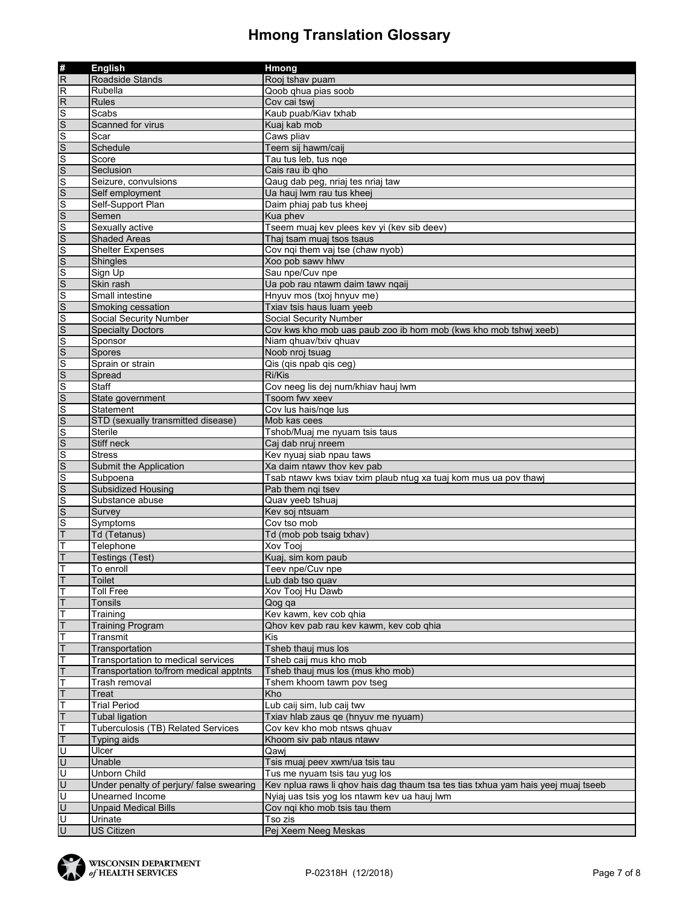| #<br>R<br>Roadside Stands<br>Rooj tshav puam<br>$\overline{R}$<br>Rubella<br>Qoob qhua pias soob<br>$\overline{R}$<br><b>Rules</b><br>Cov cai tswi<br>Kaub puab/Kiav txhab<br>Scabs<br>Scanned for virus<br>Kuaj kab mob<br>Scar<br>Caws pliav<br>Schedule<br>Teem sij hawm/caij<br>Tau tus leb, tus nge<br>Score<br>Seclusion<br>Cais rau ib qho<br>Seizure, convulsions<br>Qaug dab peg, nriaj tes nriaj taw<br>Self employment<br>Ua hauj lwm rau tus kheej<br>Self-Support Plan<br>Daim phiaj pab tus kheej<br>Semen<br>Kua phev<br>Tseem muaj kev plees kev yi (kev sib deev)<br>Sexually active<br><b>Shaded Areas</b><br>Thaj tsam muaj tsos tsaus<br>Cov nqi them vaj tse (chaw nyob)<br><b>Shelter Expenses</b><br>Xoo pob sawy hlwy<br>Shingles<br>Sign Up<br>Sau npe/Cuv npe<br>Skin rash<br>Ua pob rau ntawm daim tawy nqaij<br>Small intestine<br>Hnyuv mos (txoj hnyuv me)<br>Smoking cessation<br>Txiav tsis haus luam yeeb<br><b>Social Security Number</b><br>Social Security Number<br>Cov kws kho mob uas paub zoo ib hom mob (kws kho mob tshwj xeeb)<br><b>Specialty Doctors</b><br>Sponsor<br>Niam ghuav/txiv ghuav<br>Spores<br>Noob nroj tsuag<br>Sprain or strain<br>Qis (qis npab qis ceg)<br>Spread<br>Ri/Kis<br>Staff<br>Cov neeg lis dej num/khiav hauj lwm<br>Tsoom fwv xeev<br>State government<br>Statement<br>Cov lus hais/nge lus<br>STD (sexually transmitted disease)<br>Mob kas cees<br><b>Sterile</b><br>Tshob/Muaj me nyuam tsis taus<br>Stiff neck<br>Caj dab nruj nreem<br>Kev nyuaj siab npau taws<br><b>Stress</b><br>Submit the Application<br>Xa daim ntawy thoy key pab<br>$rac{S}{S}$<br>Tsab ntawy kws txiav txim plaub ntug xa tuaj kom mus ua pov thawj<br>Subpoena<br><b>Subsidized Housing</b><br>Pab them ngi tsev<br>$\frac{S}{S}$ $\frac{S}{T}$<br>Substance abuse<br>Quav yeeb tshuaj<br>Survey<br>Kev soj ntsuam<br>Symptoms<br>Cov tso mob<br>Td (Tetanus)<br>Td (mob pob tsaig txhav)<br>Т<br>Telephone<br>Xov Tooj<br>T<br><b>Testings (Test)</b><br>Kuaj, sim kom paub<br>T<br>Teev npe/Cuv npe<br>To enroll<br><b>Toilet</b><br>$\mathsf{T}$<br>Lub dab tso quav<br>Ŧ<br>Xov Tooj Hu Dawb<br><b>Toll Free</b><br>T<br>Tonsils<br>Qog qa<br>Ŧ<br>Training<br>Kev kawm, kev cob qhia<br>T<br><b>Training Program</b><br>Qhov kev pab rau kev kawm, kev cob qhia<br>Т<br>Kis<br>Transmit<br>T<br>Transportation<br>Tsheb thauj mus los<br>T<br>Tsheb caij mus kho mob<br>Transportation to medical services<br>Transportation to/from medical apptnts<br>Tsheb thauj mus los (mus kho mob)<br>т<br>Trash removal<br>Tshem khoom tawm pov tseg<br>T<br>Treat<br>Kho<br>Т<br><b>Trial Period</b><br>Lub caij sim, lub caij twv<br>T<br><b>Tubal ligation</b><br>Txiav hlab zaus qe (hnyuv me nyuam)<br>T<br>Tuberculosis (TB) Related Services<br>Cov kev kho mob ntsws qhuav<br>T<br><b>Typing aids</b><br>Khoom siv pab ntaus ntawy<br>$\overline{\mathsf{U}}$<br>Ulcer<br>Qawi<br>U<br>Unable<br>Tsis muaj peev xwm/ua tsis tau<br>$\overline{U}$<br>Unborn Child<br>Tus me nyuam tsis tau yug los<br>$\overline{U}$<br>Under penalty of perjury/ false swearing<br>Kev nplua raws li qhov hais dag thaum tsa tes tias txhua yam hais yeej muaj tseeb<br>Ū<br>Unearned Income<br>Nyiaj uas tsis yog los ntawm kev ua hauj lwm<br>$\overline{U}$<br><b>Unpaid Medical Bills</b><br>Cov ngi kho mob tsis tau them<br>$\overline{\mathsf{U}}$<br>Urinate<br>Tso zis |                | <b>English</b>    | Hmong                |
|------------------------------------------------------------------------------------------------------------------------------------------------------------------------------------------------------------------------------------------------------------------------------------------------------------------------------------------------------------------------------------------------------------------------------------------------------------------------------------------------------------------------------------------------------------------------------------------------------------------------------------------------------------------------------------------------------------------------------------------------------------------------------------------------------------------------------------------------------------------------------------------------------------------------------------------------------------------------------------------------------------------------------------------------------------------------------------------------------------------------------------------------------------------------------------------------------------------------------------------------------------------------------------------------------------------------------------------------------------------------------------------------------------------------------------------------------------------------------------------------------------------------------------------------------------------------------------------------------------------------------------------------------------------------------------------------------------------------------------------------------------------------------------------------------------------------------------------------------------------------------------------------------------------------------------------------------------------------------------------------------------------------------------------------------------------------------------------------------------------------------------------------------------------------------------------------------------------------------------------------------------------------------------------------------------------------------------------------------------------------------------------------------------------------------------------------------------------------------------------------------------------------------------------------------------------------------------------------------------------------------------------------------------------------------------------------------------------------------------------------------------------------------------------------------------------------------------------------------------------------------------------------------------------------------------------------------------------------------------------------------------------------------------------------------------------------------------------------------------------------------------------------------------------------------------------------------------------------------------------------------------------------------------------------------------------------------------------------------------------------------------------------------------------------------|----------------|-------------------|----------------------|
|                                                                                                                                                                                                                                                                                                                                                                                                                                                                                                                                                                                                                                                                                                                                                                                                                                                                                                                                                                                                                                                                                                                                                                                                                                                                                                                                                                                                                                                                                                                                                                                                                                                                                                                                                                                                                                                                                                                                                                                                                                                                                                                                                                                                                                                                                                                                                                                                                                                                                                                                                                                                                                                                                                                                                                                                                                                                                                                                                                                                                                                                                                                                                                                                                                                                                                                                                                                                                              |                |                   |                      |
|                                                                                                                                                                                                                                                                                                                                                                                                                                                                                                                                                                                                                                                                                                                                                                                                                                                                                                                                                                                                                                                                                                                                                                                                                                                                                                                                                                                                                                                                                                                                                                                                                                                                                                                                                                                                                                                                                                                                                                                                                                                                                                                                                                                                                                                                                                                                                                                                                                                                                                                                                                                                                                                                                                                                                                                                                                                                                                                                                                                                                                                                                                                                                                                                                                                                                                                                                                                                                              |                |                   |                      |
|                                                                                                                                                                                                                                                                                                                                                                                                                                                                                                                                                                                                                                                                                                                                                                                                                                                                                                                                                                                                                                                                                                                                                                                                                                                                                                                                                                                                                                                                                                                                                                                                                                                                                                                                                                                                                                                                                                                                                                                                                                                                                                                                                                                                                                                                                                                                                                                                                                                                                                                                                                                                                                                                                                                                                                                                                                                                                                                                                                                                                                                                                                                                                                                                                                                                                                                                                                                                                              |                |                   |                      |
|                                                                                                                                                                                                                                                                                                                                                                                                                                                                                                                                                                                                                                                                                                                                                                                                                                                                                                                                                                                                                                                                                                                                                                                                                                                                                                                                                                                                                                                                                                                                                                                                                                                                                                                                                                                                                                                                                                                                                                                                                                                                                                                                                                                                                                                                                                                                                                                                                                                                                                                                                                                                                                                                                                                                                                                                                                                                                                                                                                                                                                                                                                                                                                                                                                                                                                                                                                                                                              |                |                   |                      |
|                                                                                                                                                                                                                                                                                                                                                                                                                                                                                                                                                                                                                                                                                                                                                                                                                                                                                                                                                                                                                                                                                                                                                                                                                                                                                                                                                                                                                                                                                                                                                                                                                                                                                                                                                                                                                                                                                                                                                                                                                                                                                                                                                                                                                                                                                                                                                                                                                                                                                                                                                                                                                                                                                                                                                                                                                                                                                                                                                                                                                                                                                                                                                                                                                                                                                                                                                                                                                              |                |                   |                      |
|                                                                                                                                                                                                                                                                                                                                                                                                                                                                                                                                                                                                                                                                                                                                                                                                                                                                                                                                                                                                                                                                                                                                                                                                                                                                                                                                                                                                                                                                                                                                                                                                                                                                                                                                                                                                                                                                                                                                                                                                                                                                                                                                                                                                                                                                                                                                                                                                                                                                                                                                                                                                                                                                                                                                                                                                                                                                                                                                                                                                                                                                                                                                                                                                                                                                                                                                                                                                                              |                |                   |                      |
|                                                                                                                                                                                                                                                                                                                                                                                                                                                                                                                                                                                                                                                                                                                                                                                                                                                                                                                                                                                                                                                                                                                                                                                                                                                                                                                                                                                                                                                                                                                                                                                                                                                                                                                                                                                                                                                                                                                                                                                                                                                                                                                                                                                                                                                                                                                                                                                                                                                                                                                                                                                                                                                                                                                                                                                                                                                                                                                                                                                                                                                                                                                                                                                                                                                                                                                                                                                                                              |                |                   |                      |
|                                                                                                                                                                                                                                                                                                                                                                                                                                                                                                                                                                                                                                                                                                                                                                                                                                                                                                                                                                                                                                                                                                                                                                                                                                                                                                                                                                                                                                                                                                                                                                                                                                                                                                                                                                                                                                                                                                                                                                                                                                                                                                                                                                                                                                                                                                                                                                                                                                                                                                                                                                                                                                                                                                                                                                                                                                                                                                                                                                                                                                                                                                                                                                                                                                                                                                                                                                                                                              |                |                   |                      |
|                                                                                                                                                                                                                                                                                                                                                                                                                                                                                                                                                                                                                                                                                                                                                                                                                                                                                                                                                                                                                                                                                                                                                                                                                                                                                                                                                                                                                                                                                                                                                                                                                                                                                                                                                                                                                                                                                                                                                                                                                                                                                                                                                                                                                                                                                                                                                                                                                                                                                                                                                                                                                                                                                                                                                                                                                                                                                                                                                                                                                                                                                                                                                                                                                                                                                                                                                                                                                              |                |                   |                      |
|                                                                                                                                                                                                                                                                                                                                                                                                                                                                                                                                                                                                                                                                                                                                                                                                                                                                                                                                                                                                                                                                                                                                                                                                                                                                                                                                                                                                                                                                                                                                                                                                                                                                                                                                                                                                                                                                                                                                                                                                                                                                                                                                                                                                                                                                                                                                                                                                                                                                                                                                                                                                                                                                                                                                                                                                                                                                                                                                                                                                                                                                                                                                                                                                                                                                                                                                                                                                                              |                |                   |                      |
|                                                                                                                                                                                                                                                                                                                                                                                                                                                                                                                                                                                                                                                                                                                                                                                                                                                                                                                                                                                                                                                                                                                                                                                                                                                                                                                                                                                                                                                                                                                                                                                                                                                                                                                                                                                                                                                                                                                                                                                                                                                                                                                                                                                                                                                                                                                                                                                                                                                                                                                                                                                                                                                                                                                                                                                                                                                                                                                                                                                                                                                                                                                                                                                                                                                                                                                                                                                                                              |                |                   |                      |
|                                                                                                                                                                                                                                                                                                                                                                                                                                                                                                                                                                                                                                                                                                                                                                                                                                                                                                                                                                                                                                                                                                                                                                                                                                                                                                                                                                                                                                                                                                                                                                                                                                                                                                                                                                                                                                                                                                                                                                                                                                                                                                                                                                                                                                                                                                                                                                                                                                                                                                                                                                                                                                                                                                                                                                                                                                                                                                                                                                                                                                                                                                                                                                                                                                                                                                                                                                                                                              |                |                   |                      |
|                                                                                                                                                                                                                                                                                                                                                                                                                                                                                                                                                                                                                                                                                                                                                                                                                                                                                                                                                                                                                                                                                                                                                                                                                                                                                                                                                                                                                                                                                                                                                                                                                                                                                                                                                                                                                                                                                                                                                                                                                                                                                                                                                                                                                                                                                                                                                                                                                                                                                                                                                                                                                                                                                                                                                                                                                                                                                                                                                                                                                                                                                                                                                                                                                                                                                                                                                                                                                              |                |                   |                      |
|                                                                                                                                                                                                                                                                                                                                                                                                                                                                                                                                                                                                                                                                                                                                                                                                                                                                                                                                                                                                                                                                                                                                                                                                                                                                                                                                                                                                                                                                                                                                                                                                                                                                                                                                                                                                                                                                                                                                                                                                                                                                                                                                                                                                                                                                                                                                                                                                                                                                                                                                                                                                                                                                                                                                                                                                                                                                                                                                                                                                                                                                                                                                                                                                                                                                                                                                                                                                                              |                |                   |                      |
|                                                                                                                                                                                                                                                                                                                                                                                                                                                                                                                                                                                                                                                                                                                                                                                                                                                                                                                                                                                                                                                                                                                                                                                                                                                                                                                                                                                                                                                                                                                                                                                                                                                                                                                                                                                                                                                                                                                                                                                                                                                                                                                                                                                                                                                                                                                                                                                                                                                                                                                                                                                                                                                                                                                                                                                                                                                                                                                                                                                                                                                                                                                                                                                                                                                                                                                                                                                                                              |                |                   |                      |
|                                                                                                                                                                                                                                                                                                                                                                                                                                                                                                                                                                                                                                                                                                                                                                                                                                                                                                                                                                                                                                                                                                                                                                                                                                                                                                                                                                                                                                                                                                                                                                                                                                                                                                                                                                                                                                                                                                                                                                                                                                                                                                                                                                                                                                                                                                                                                                                                                                                                                                                                                                                                                                                                                                                                                                                                                                                                                                                                                                                                                                                                                                                                                                                                                                                                                                                                                                                                                              |                |                   |                      |
|                                                                                                                                                                                                                                                                                                                                                                                                                                                                                                                                                                                                                                                                                                                                                                                                                                                                                                                                                                                                                                                                                                                                                                                                                                                                                                                                                                                                                                                                                                                                                                                                                                                                                                                                                                                                                                                                                                                                                                                                                                                                                                                                                                                                                                                                                                                                                                                                                                                                                                                                                                                                                                                                                                                                                                                                                                                                                                                                                                                                                                                                                                                                                                                                                                                                                                                                                                                                                              |                |                   |                      |
|                                                                                                                                                                                                                                                                                                                                                                                                                                                                                                                                                                                                                                                                                                                                                                                                                                                                                                                                                                                                                                                                                                                                                                                                                                                                                                                                                                                                                                                                                                                                                                                                                                                                                                                                                                                                                                                                                                                                                                                                                                                                                                                                                                                                                                                                                                                                                                                                                                                                                                                                                                                                                                                                                                                                                                                                                                                                                                                                                                                                                                                                                                                                                                                                                                                                                                                                                                                                                              |                |                   |                      |
|                                                                                                                                                                                                                                                                                                                                                                                                                                                                                                                                                                                                                                                                                                                                                                                                                                                                                                                                                                                                                                                                                                                                                                                                                                                                                                                                                                                                                                                                                                                                                                                                                                                                                                                                                                                                                                                                                                                                                                                                                                                                                                                                                                                                                                                                                                                                                                                                                                                                                                                                                                                                                                                                                                                                                                                                                                                                                                                                                                                                                                                                                                                                                                                                                                                                                                                                                                                                                              |                |                   |                      |
|                                                                                                                                                                                                                                                                                                                                                                                                                                                                                                                                                                                                                                                                                                                                                                                                                                                                                                                                                                                                                                                                                                                                                                                                                                                                                                                                                                                                                                                                                                                                                                                                                                                                                                                                                                                                                                                                                                                                                                                                                                                                                                                                                                                                                                                                                                                                                                                                                                                                                                                                                                                                                                                                                                                                                                                                                                                                                                                                                                                                                                                                                                                                                                                                                                                                                                                                                                                                                              |                |                   |                      |
|                                                                                                                                                                                                                                                                                                                                                                                                                                                                                                                                                                                                                                                                                                                                                                                                                                                                                                                                                                                                                                                                                                                                                                                                                                                                                                                                                                                                                                                                                                                                                                                                                                                                                                                                                                                                                                                                                                                                                                                                                                                                                                                                                                                                                                                                                                                                                                                                                                                                                                                                                                                                                                                                                                                                                                                                                                                                                                                                                                                                                                                                                                                                                                                                                                                                                                                                                                                                                              |                |                   |                      |
|                                                                                                                                                                                                                                                                                                                                                                                                                                                                                                                                                                                                                                                                                                                                                                                                                                                                                                                                                                                                                                                                                                                                                                                                                                                                                                                                                                                                                                                                                                                                                                                                                                                                                                                                                                                                                                                                                                                                                                                                                                                                                                                                                                                                                                                                                                                                                                                                                                                                                                                                                                                                                                                                                                                                                                                                                                                                                                                                                                                                                                                                                                                                                                                                                                                                                                                                                                                                                              |                |                   |                      |
|                                                                                                                                                                                                                                                                                                                                                                                                                                                                                                                                                                                                                                                                                                                                                                                                                                                                                                                                                                                                                                                                                                                                                                                                                                                                                                                                                                                                                                                                                                                                                                                                                                                                                                                                                                                                                                                                                                                                                                                                                                                                                                                                                                                                                                                                                                                                                                                                                                                                                                                                                                                                                                                                                                                                                                                                                                                                                                                                                                                                                                                                                                                                                                                                                                                                                                                                                                                                                              |                |                   |                      |
|                                                                                                                                                                                                                                                                                                                                                                                                                                                                                                                                                                                                                                                                                                                                                                                                                                                                                                                                                                                                                                                                                                                                                                                                                                                                                                                                                                                                                                                                                                                                                                                                                                                                                                                                                                                                                                                                                                                                                                                                                                                                                                                                                                                                                                                                                                                                                                                                                                                                                                                                                                                                                                                                                                                                                                                                                                                                                                                                                                                                                                                                                                                                                                                                                                                                                                                                                                                                                              |                |                   |                      |
|                                                                                                                                                                                                                                                                                                                                                                                                                                                                                                                                                                                                                                                                                                                                                                                                                                                                                                                                                                                                                                                                                                                                                                                                                                                                                                                                                                                                                                                                                                                                                                                                                                                                                                                                                                                                                                                                                                                                                                                                                                                                                                                                                                                                                                                                                                                                                                                                                                                                                                                                                                                                                                                                                                                                                                                                                                                                                                                                                                                                                                                                                                                                                                                                                                                                                                                                                                                                                              |                |                   |                      |
|                                                                                                                                                                                                                                                                                                                                                                                                                                                                                                                                                                                                                                                                                                                                                                                                                                                                                                                                                                                                                                                                                                                                                                                                                                                                                                                                                                                                                                                                                                                                                                                                                                                                                                                                                                                                                                                                                                                                                                                                                                                                                                                                                                                                                                                                                                                                                                                                                                                                                                                                                                                                                                                                                                                                                                                                                                                                                                                                                                                                                                                                                                                                                                                                                                                                                                                                                                                                                              |                |                   |                      |
|                                                                                                                                                                                                                                                                                                                                                                                                                                                                                                                                                                                                                                                                                                                                                                                                                                                                                                                                                                                                                                                                                                                                                                                                                                                                                                                                                                                                                                                                                                                                                                                                                                                                                                                                                                                                                                                                                                                                                                                                                                                                                                                                                                                                                                                                                                                                                                                                                                                                                                                                                                                                                                                                                                                                                                                                                                                                                                                                                                                                                                                                                                                                                                                                                                                                                                                                                                                                                              |                |                   |                      |
|                                                                                                                                                                                                                                                                                                                                                                                                                                                                                                                                                                                                                                                                                                                                                                                                                                                                                                                                                                                                                                                                                                                                                                                                                                                                                                                                                                                                                                                                                                                                                                                                                                                                                                                                                                                                                                                                                                                                                                                                                                                                                                                                                                                                                                                                                                                                                                                                                                                                                                                                                                                                                                                                                                                                                                                                                                                                                                                                                                                                                                                                                                                                                                                                                                                                                                                                                                                                                              |                |                   |                      |
|                                                                                                                                                                                                                                                                                                                                                                                                                                                                                                                                                                                                                                                                                                                                                                                                                                                                                                                                                                                                                                                                                                                                                                                                                                                                                                                                                                                                                                                                                                                                                                                                                                                                                                                                                                                                                                                                                                                                                                                                                                                                                                                                                                                                                                                                                                                                                                                                                                                                                                                                                                                                                                                                                                                                                                                                                                                                                                                                                                                                                                                                                                                                                                                                                                                                                                                                                                                                                              |                |                   |                      |
|                                                                                                                                                                                                                                                                                                                                                                                                                                                                                                                                                                                                                                                                                                                                                                                                                                                                                                                                                                                                                                                                                                                                                                                                                                                                                                                                                                                                                                                                                                                                                                                                                                                                                                                                                                                                                                                                                                                                                                                                                                                                                                                                                                                                                                                                                                                                                                                                                                                                                                                                                                                                                                                                                                                                                                                                                                                                                                                                                                                                                                                                                                                                                                                                                                                                                                                                                                                                                              |                |                   |                      |
|                                                                                                                                                                                                                                                                                                                                                                                                                                                                                                                                                                                                                                                                                                                                                                                                                                                                                                                                                                                                                                                                                                                                                                                                                                                                                                                                                                                                                                                                                                                                                                                                                                                                                                                                                                                                                                                                                                                                                                                                                                                                                                                                                                                                                                                                                                                                                                                                                                                                                                                                                                                                                                                                                                                                                                                                                                                                                                                                                                                                                                                                                                                                                                                                                                                                                                                                                                                                                              |                |                   |                      |
|                                                                                                                                                                                                                                                                                                                                                                                                                                                                                                                                                                                                                                                                                                                                                                                                                                                                                                                                                                                                                                                                                                                                                                                                                                                                                                                                                                                                                                                                                                                                                                                                                                                                                                                                                                                                                                                                                                                                                                                                                                                                                                                                                                                                                                                                                                                                                                                                                                                                                                                                                                                                                                                                                                                                                                                                                                                                                                                                                                                                                                                                                                                                                                                                                                                                                                                                                                                                                              |                |                   |                      |
|                                                                                                                                                                                                                                                                                                                                                                                                                                                                                                                                                                                                                                                                                                                                                                                                                                                                                                                                                                                                                                                                                                                                                                                                                                                                                                                                                                                                                                                                                                                                                                                                                                                                                                                                                                                                                                                                                                                                                                                                                                                                                                                                                                                                                                                                                                                                                                                                                                                                                                                                                                                                                                                                                                                                                                                                                                                                                                                                                                                                                                                                                                                                                                                                                                                                                                                                                                                                                              |                |                   |                      |
|                                                                                                                                                                                                                                                                                                                                                                                                                                                                                                                                                                                                                                                                                                                                                                                                                                                                                                                                                                                                                                                                                                                                                                                                                                                                                                                                                                                                                                                                                                                                                                                                                                                                                                                                                                                                                                                                                                                                                                                                                                                                                                                                                                                                                                                                                                                                                                                                                                                                                                                                                                                                                                                                                                                                                                                                                                                                                                                                                                                                                                                                                                                                                                                                                                                                                                                                                                                                                              |                |                   |                      |
|                                                                                                                                                                                                                                                                                                                                                                                                                                                                                                                                                                                                                                                                                                                                                                                                                                                                                                                                                                                                                                                                                                                                                                                                                                                                                                                                                                                                                                                                                                                                                                                                                                                                                                                                                                                                                                                                                                                                                                                                                                                                                                                                                                                                                                                                                                                                                                                                                                                                                                                                                                                                                                                                                                                                                                                                                                                                                                                                                                                                                                                                                                                                                                                                                                                                                                                                                                                                                              |                |                   |                      |
|                                                                                                                                                                                                                                                                                                                                                                                                                                                                                                                                                                                                                                                                                                                                                                                                                                                                                                                                                                                                                                                                                                                                                                                                                                                                                                                                                                                                                                                                                                                                                                                                                                                                                                                                                                                                                                                                                                                                                                                                                                                                                                                                                                                                                                                                                                                                                                                                                                                                                                                                                                                                                                                                                                                                                                                                                                                                                                                                                                                                                                                                                                                                                                                                                                                                                                                                                                                                                              |                |                   |                      |
|                                                                                                                                                                                                                                                                                                                                                                                                                                                                                                                                                                                                                                                                                                                                                                                                                                                                                                                                                                                                                                                                                                                                                                                                                                                                                                                                                                                                                                                                                                                                                                                                                                                                                                                                                                                                                                                                                                                                                                                                                                                                                                                                                                                                                                                                                                                                                                                                                                                                                                                                                                                                                                                                                                                                                                                                                                                                                                                                                                                                                                                                                                                                                                                                                                                                                                                                                                                                                              |                |                   |                      |
|                                                                                                                                                                                                                                                                                                                                                                                                                                                                                                                                                                                                                                                                                                                                                                                                                                                                                                                                                                                                                                                                                                                                                                                                                                                                                                                                                                                                                                                                                                                                                                                                                                                                                                                                                                                                                                                                                                                                                                                                                                                                                                                                                                                                                                                                                                                                                                                                                                                                                                                                                                                                                                                                                                                                                                                                                                                                                                                                                                                                                                                                                                                                                                                                                                                                                                                                                                                                                              |                |                   |                      |
|                                                                                                                                                                                                                                                                                                                                                                                                                                                                                                                                                                                                                                                                                                                                                                                                                                                                                                                                                                                                                                                                                                                                                                                                                                                                                                                                                                                                                                                                                                                                                                                                                                                                                                                                                                                                                                                                                                                                                                                                                                                                                                                                                                                                                                                                                                                                                                                                                                                                                                                                                                                                                                                                                                                                                                                                                                                                                                                                                                                                                                                                                                                                                                                                                                                                                                                                                                                                                              |                |                   |                      |
|                                                                                                                                                                                                                                                                                                                                                                                                                                                                                                                                                                                                                                                                                                                                                                                                                                                                                                                                                                                                                                                                                                                                                                                                                                                                                                                                                                                                                                                                                                                                                                                                                                                                                                                                                                                                                                                                                                                                                                                                                                                                                                                                                                                                                                                                                                                                                                                                                                                                                                                                                                                                                                                                                                                                                                                                                                                                                                                                                                                                                                                                                                                                                                                                                                                                                                                                                                                                                              |                |                   |                      |
|                                                                                                                                                                                                                                                                                                                                                                                                                                                                                                                                                                                                                                                                                                                                                                                                                                                                                                                                                                                                                                                                                                                                                                                                                                                                                                                                                                                                                                                                                                                                                                                                                                                                                                                                                                                                                                                                                                                                                                                                                                                                                                                                                                                                                                                                                                                                                                                                                                                                                                                                                                                                                                                                                                                                                                                                                                                                                                                                                                                                                                                                                                                                                                                                                                                                                                                                                                                                                              |                |                   |                      |
|                                                                                                                                                                                                                                                                                                                                                                                                                                                                                                                                                                                                                                                                                                                                                                                                                                                                                                                                                                                                                                                                                                                                                                                                                                                                                                                                                                                                                                                                                                                                                                                                                                                                                                                                                                                                                                                                                                                                                                                                                                                                                                                                                                                                                                                                                                                                                                                                                                                                                                                                                                                                                                                                                                                                                                                                                                                                                                                                                                                                                                                                                                                                                                                                                                                                                                                                                                                                                              |                |                   |                      |
|                                                                                                                                                                                                                                                                                                                                                                                                                                                                                                                                                                                                                                                                                                                                                                                                                                                                                                                                                                                                                                                                                                                                                                                                                                                                                                                                                                                                                                                                                                                                                                                                                                                                                                                                                                                                                                                                                                                                                                                                                                                                                                                                                                                                                                                                                                                                                                                                                                                                                                                                                                                                                                                                                                                                                                                                                                                                                                                                                                                                                                                                                                                                                                                                                                                                                                                                                                                                                              |                |                   |                      |
|                                                                                                                                                                                                                                                                                                                                                                                                                                                                                                                                                                                                                                                                                                                                                                                                                                                                                                                                                                                                                                                                                                                                                                                                                                                                                                                                                                                                                                                                                                                                                                                                                                                                                                                                                                                                                                                                                                                                                                                                                                                                                                                                                                                                                                                                                                                                                                                                                                                                                                                                                                                                                                                                                                                                                                                                                                                                                                                                                                                                                                                                                                                                                                                                                                                                                                                                                                                                                              |                |                   |                      |
|                                                                                                                                                                                                                                                                                                                                                                                                                                                                                                                                                                                                                                                                                                                                                                                                                                                                                                                                                                                                                                                                                                                                                                                                                                                                                                                                                                                                                                                                                                                                                                                                                                                                                                                                                                                                                                                                                                                                                                                                                                                                                                                                                                                                                                                                                                                                                                                                                                                                                                                                                                                                                                                                                                                                                                                                                                                                                                                                                                                                                                                                                                                                                                                                                                                                                                                                                                                                                              |                |                   |                      |
|                                                                                                                                                                                                                                                                                                                                                                                                                                                                                                                                                                                                                                                                                                                                                                                                                                                                                                                                                                                                                                                                                                                                                                                                                                                                                                                                                                                                                                                                                                                                                                                                                                                                                                                                                                                                                                                                                                                                                                                                                                                                                                                                                                                                                                                                                                                                                                                                                                                                                                                                                                                                                                                                                                                                                                                                                                                                                                                                                                                                                                                                                                                                                                                                                                                                                                                                                                                                                              |                |                   |                      |
|                                                                                                                                                                                                                                                                                                                                                                                                                                                                                                                                                                                                                                                                                                                                                                                                                                                                                                                                                                                                                                                                                                                                                                                                                                                                                                                                                                                                                                                                                                                                                                                                                                                                                                                                                                                                                                                                                                                                                                                                                                                                                                                                                                                                                                                                                                                                                                                                                                                                                                                                                                                                                                                                                                                                                                                                                                                                                                                                                                                                                                                                                                                                                                                                                                                                                                                                                                                                                              |                |                   |                      |
|                                                                                                                                                                                                                                                                                                                                                                                                                                                                                                                                                                                                                                                                                                                                                                                                                                                                                                                                                                                                                                                                                                                                                                                                                                                                                                                                                                                                                                                                                                                                                                                                                                                                                                                                                                                                                                                                                                                                                                                                                                                                                                                                                                                                                                                                                                                                                                                                                                                                                                                                                                                                                                                                                                                                                                                                                                                                                                                                                                                                                                                                                                                                                                                                                                                                                                                                                                                                                              |                |                   |                      |
|                                                                                                                                                                                                                                                                                                                                                                                                                                                                                                                                                                                                                                                                                                                                                                                                                                                                                                                                                                                                                                                                                                                                                                                                                                                                                                                                                                                                                                                                                                                                                                                                                                                                                                                                                                                                                                                                                                                                                                                                                                                                                                                                                                                                                                                                                                                                                                                                                                                                                                                                                                                                                                                                                                                                                                                                                                                                                                                                                                                                                                                                                                                                                                                                                                                                                                                                                                                                                              |                |                   |                      |
|                                                                                                                                                                                                                                                                                                                                                                                                                                                                                                                                                                                                                                                                                                                                                                                                                                                                                                                                                                                                                                                                                                                                                                                                                                                                                                                                                                                                                                                                                                                                                                                                                                                                                                                                                                                                                                                                                                                                                                                                                                                                                                                                                                                                                                                                                                                                                                                                                                                                                                                                                                                                                                                                                                                                                                                                                                                                                                                                                                                                                                                                                                                                                                                                                                                                                                                                                                                                                              |                |                   |                      |
|                                                                                                                                                                                                                                                                                                                                                                                                                                                                                                                                                                                                                                                                                                                                                                                                                                                                                                                                                                                                                                                                                                                                                                                                                                                                                                                                                                                                                                                                                                                                                                                                                                                                                                                                                                                                                                                                                                                                                                                                                                                                                                                                                                                                                                                                                                                                                                                                                                                                                                                                                                                                                                                                                                                                                                                                                                                                                                                                                                                                                                                                                                                                                                                                                                                                                                                                                                                                                              |                |                   |                      |
|                                                                                                                                                                                                                                                                                                                                                                                                                                                                                                                                                                                                                                                                                                                                                                                                                                                                                                                                                                                                                                                                                                                                                                                                                                                                                                                                                                                                                                                                                                                                                                                                                                                                                                                                                                                                                                                                                                                                                                                                                                                                                                                                                                                                                                                                                                                                                                                                                                                                                                                                                                                                                                                                                                                                                                                                                                                                                                                                                                                                                                                                                                                                                                                                                                                                                                                                                                                                                              |                |                   |                      |
|                                                                                                                                                                                                                                                                                                                                                                                                                                                                                                                                                                                                                                                                                                                                                                                                                                                                                                                                                                                                                                                                                                                                                                                                                                                                                                                                                                                                                                                                                                                                                                                                                                                                                                                                                                                                                                                                                                                                                                                                                                                                                                                                                                                                                                                                                                                                                                                                                                                                                                                                                                                                                                                                                                                                                                                                                                                                                                                                                                                                                                                                                                                                                                                                                                                                                                                                                                                                                              |                |                   |                      |
|                                                                                                                                                                                                                                                                                                                                                                                                                                                                                                                                                                                                                                                                                                                                                                                                                                                                                                                                                                                                                                                                                                                                                                                                                                                                                                                                                                                                                                                                                                                                                                                                                                                                                                                                                                                                                                                                                                                                                                                                                                                                                                                                                                                                                                                                                                                                                                                                                                                                                                                                                                                                                                                                                                                                                                                                                                                                                                                                                                                                                                                                                                                                                                                                                                                                                                                                                                                                                              |                |                   |                      |
|                                                                                                                                                                                                                                                                                                                                                                                                                                                                                                                                                                                                                                                                                                                                                                                                                                                                                                                                                                                                                                                                                                                                                                                                                                                                                                                                                                                                                                                                                                                                                                                                                                                                                                                                                                                                                                                                                                                                                                                                                                                                                                                                                                                                                                                                                                                                                                                                                                                                                                                                                                                                                                                                                                                                                                                                                                                                                                                                                                                                                                                                                                                                                                                                                                                                                                                                                                                                                              |                |                   |                      |
|                                                                                                                                                                                                                                                                                                                                                                                                                                                                                                                                                                                                                                                                                                                                                                                                                                                                                                                                                                                                                                                                                                                                                                                                                                                                                                                                                                                                                                                                                                                                                                                                                                                                                                                                                                                                                                                                                                                                                                                                                                                                                                                                                                                                                                                                                                                                                                                                                                                                                                                                                                                                                                                                                                                                                                                                                                                                                                                                                                                                                                                                                                                                                                                                                                                                                                                                                                                                                              |                |                   |                      |
|                                                                                                                                                                                                                                                                                                                                                                                                                                                                                                                                                                                                                                                                                                                                                                                                                                                                                                                                                                                                                                                                                                                                                                                                                                                                                                                                                                                                                                                                                                                                                                                                                                                                                                                                                                                                                                                                                                                                                                                                                                                                                                                                                                                                                                                                                                                                                                                                                                                                                                                                                                                                                                                                                                                                                                                                                                                                                                                                                                                                                                                                                                                                                                                                                                                                                                                                                                                                                              |                |                   |                      |
|                                                                                                                                                                                                                                                                                                                                                                                                                                                                                                                                                                                                                                                                                                                                                                                                                                                                                                                                                                                                                                                                                                                                                                                                                                                                                                                                                                                                                                                                                                                                                                                                                                                                                                                                                                                                                                                                                                                                                                                                                                                                                                                                                                                                                                                                                                                                                                                                                                                                                                                                                                                                                                                                                                                                                                                                                                                                                                                                                                                                                                                                                                                                                                                                                                                                                                                                                                                                                              |                |                   |                      |
|                                                                                                                                                                                                                                                                                                                                                                                                                                                                                                                                                                                                                                                                                                                                                                                                                                                                                                                                                                                                                                                                                                                                                                                                                                                                                                                                                                                                                                                                                                                                                                                                                                                                                                                                                                                                                                                                                                                                                                                                                                                                                                                                                                                                                                                                                                                                                                                                                                                                                                                                                                                                                                                                                                                                                                                                                                                                                                                                                                                                                                                                                                                                                                                                                                                                                                                                                                                                                              |                |                   |                      |
|                                                                                                                                                                                                                                                                                                                                                                                                                                                                                                                                                                                                                                                                                                                                                                                                                                                                                                                                                                                                                                                                                                                                                                                                                                                                                                                                                                                                                                                                                                                                                                                                                                                                                                                                                                                                                                                                                                                                                                                                                                                                                                                                                                                                                                                                                                                                                                                                                                                                                                                                                                                                                                                                                                                                                                                                                                                                                                                                                                                                                                                                                                                                                                                                                                                                                                                                                                                                                              |                |                   |                      |
|                                                                                                                                                                                                                                                                                                                                                                                                                                                                                                                                                                                                                                                                                                                                                                                                                                                                                                                                                                                                                                                                                                                                                                                                                                                                                                                                                                                                                                                                                                                                                                                                                                                                                                                                                                                                                                                                                                                                                                                                                                                                                                                                                                                                                                                                                                                                                                                                                                                                                                                                                                                                                                                                                                                                                                                                                                                                                                                                                                                                                                                                                                                                                                                                                                                                                                                                                                                                                              |                |                   |                      |
|                                                                                                                                                                                                                                                                                                                                                                                                                                                                                                                                                                                                                                                                                                                                                                                                                                                                                                                                                                                                                                                                                                                                                                                                                                                                                                                                                                                                                                                                                                                                                                                                                                                                                                                                                                                                                                                                                                                                                                                                                                                                                                                                                                                                                                                                                                                                                                                                                                                                                                                                                                                                                                                                                                                                                                                                                                                                                                                                                                                                                                                                                                                                                                                                                                                                                                                                                                                                                              |                |                   |                      |
|                                                                                                                                                                                                                                                                                                                                                                                                                                                                                                                                                                                                                                                                                                                                                                                                                                                                                                                                                                                                                                                                                                                                                                                                                                                                                                                                                                                                                                                                                                                                                                                                                                                                                                                                                                                                                                                                                                                                                                                                                                                                                                                                                                                                                                                                                                                                                                                                                                                                                                                                                                                                                                                                                                                                                                                                                                                                                                                                                                                                                                                                                                                                                                                                                                                                                                                                                                                                                              |                |                   |                      |
|                                                                                                                                                                                                                                                                                                                                                                                                                                                                                                                                                                                                                                                                                                                                                                                                                                                                                                                                                                                                                                                                                                                                                                                                                                                                                                                                                                                                                                                                                                                                                                                                                                                                                                                                                                                                                                                                                                                                                                                                                                                                                                                                                                                                                                                                                                                                                                                                                                                                                                                                                                                                                                                                                                                                                                                                                                                                                                                                                                                                                                                                                                                                                                                                                                                                                                                                                                                                                              |                |                   |                      |
|                                                                                                                                                                                                                                                                                                                                                                                                                                                                                                                                                                                                                                                                                                                                                                                                                                                                                                                                                                                                                                                                                                                                                                                                                                                                                                                                                                                                                                                                                                                                                                                                                                                                                                                                                                                                                                                                                                                                                                                                                                                                                                                                                                                                                                                                                                                                                                                                                                                                                                                                                                                                                                                                                                                                                                                                                                                                                                                                                                                                                                                                                                                                                                                                                                                                                                                                                                                                                              |                |                   |                      |
|                                                                                                                                                                                                                                                                                                                                                                                                                                                                                                                                                                                                                                                                                                                                                                                                                                                                                                                                                                                                                                                                                                                                                                                                                                                                                                                                                                                                                                                                                                                                                                                                                                                                                                                                                                                                                                                                                                                                                                                                                                                                                                                                                                                                                                                                                                                                                                                                                                                                                                                                                                                                                                                                                                                                                                                                                                                                                                                                                                                                                                                                                                                                                                                                                                                                                                                                                                                                                              |                |                   |                      |
|                                                                                                                                                                                                                                                                                                                                                                                                                                                                                                                                                                                                                                                                                                                                                                                                                                                                                                                                                                                                                                                                                                                                                                                                                                                                                                                                                                                                                                                                                                                                                                                                                                                                                                                                                                                                                                                                                                                                                                                                                                                                                                                                                                                                                                                                                                                                                                                                                                                                                                                                                                                                                                                                                                                                                                                                                                                                                                                                                                                                                                                                                                                                                                                                                                                                                                                                                                                                                              |                |                   |                      |
|                                                                                                                                                                                                                                                                                                                                                                                                                                                                                                                                                                                                                                                                                                                                                                                                                                                                                                                                                                                                                                                                                                                                                                                                                                                                                                                                                                                                                                                                                                                                                                                                                                                                                                                                                                                                                                                                                                                                                                                                                                                                                                                                                                                                                                                                                                                                                                                                                                                                                                                                                                                                                                                                                                                                                                                                                                                                                                                                                                                                                                                                                                                                                                                                                                                                                                                                                                                                                              |                |                   |                      |
|                                                                                                                                                                                                                                                                                                                                                                                                                                                                                                                                                                                                                                                                                                                                                                                                                                                                                                                                                                                                                                                                                                                                                                                                                                                                                                                                                                                                                                                                                                                                                                                                                                                                                                                                                                                                                                                                                                                                                                                                                                                                                                                                                                                                                                                                                                                                                                                                                                                                                                                                                                                                                                                                                                                                                                                                                                                                                                                                                                                                                                                                                                                                                                                                                                                                                                                                                                                                                              | $\overline{U}$ | <b>US Citizen</b> | Pej Xeem Neeg Meskas |